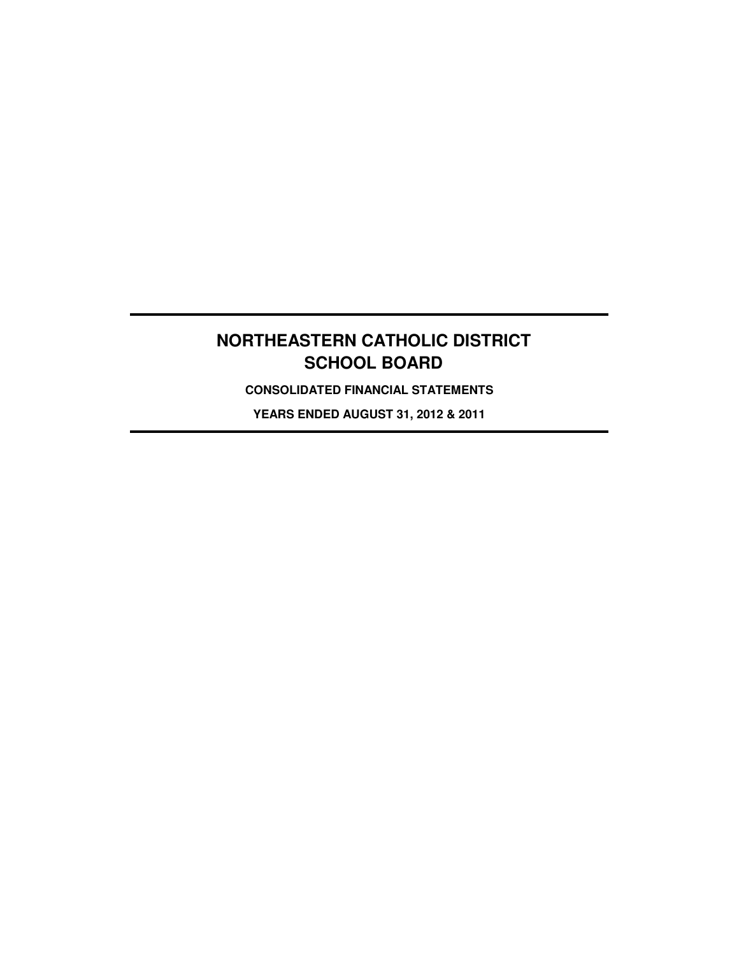**CONSOLIDATED FINANCIAL STATEMENTS**

**YEARS ENDED AUGUST 31, 2012 & 2011**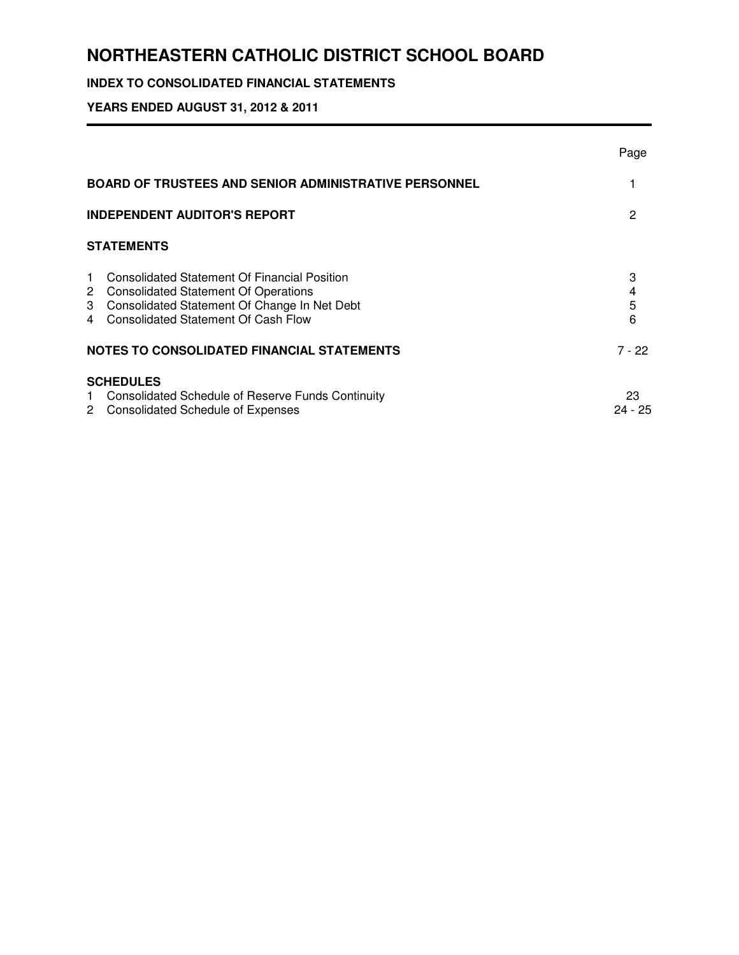## **INDEX TO CONSOLIDATED FINANCIAL STATEMENTS**

## **YEARS ENDED AUGUST 31, 2012 & 2011**

|              |                                                                                                                                                                                          | Page             |
|--------------|------------------------------------------------------------------------------------------------------------------------------------------------------------------------------------------|------------------|
|              | <b>BOARD OF TRUSTEES AND SENIOR ADMINISTRATIVE PERSONNEL</b>                                                                                                                             |                  |
|              | <b>INDEPENDENT AUDITOR'S REPORT</b>                                                                                                                                                      | 2                |
|              | <b>STATEMENTS</b>                                                                                                                                                                        |                  |
| $\mathbf{1}$ | <b>Consolidated Statement Of Financial Position</b><br>2 Consolidated Statement Of Operations<br>3 Consolidated Statement Of Change In Net Debt<br>4 Consolidated Statement Of Cash Flow | 3<br>4<br>5<br>6 |
|              | NOTES TO CONSOLIDATED FINANCIAL STATEMENTS                                                                                                                                               | 7 - 22           |
| $1 \quad$    | <b>SCHEDULES</b><br><b>Consolidated Schedule of Reserve Funds Continuity</b><br>2 Consolidated Schedule of Expenses                                                                      | 23<br>24 - 25    |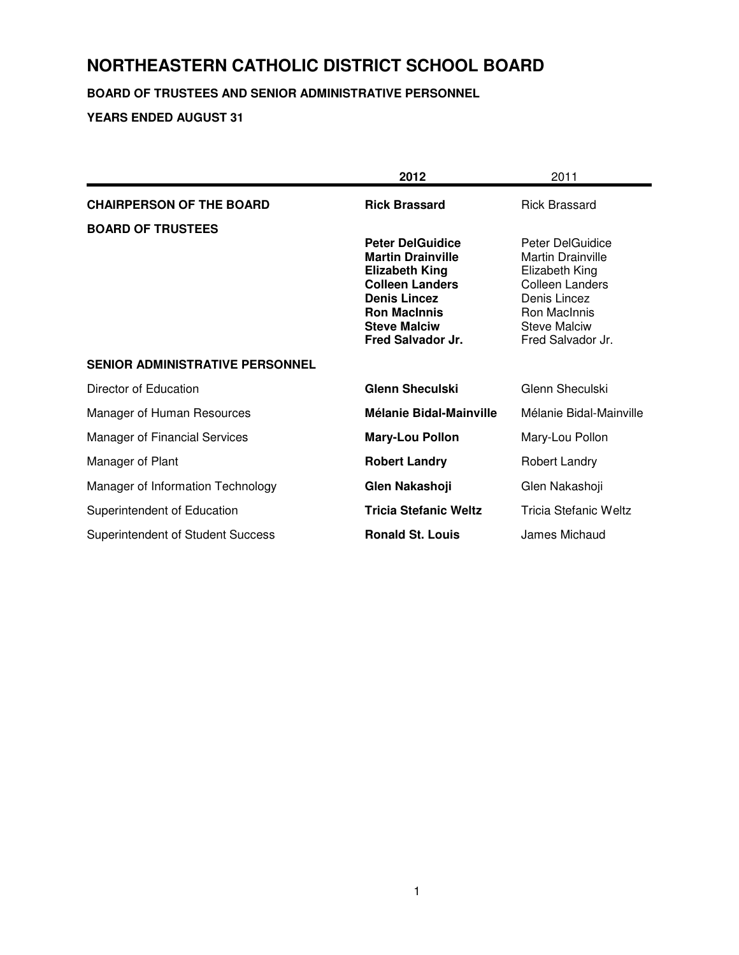## **BOARD OF TRUSTEES AND SENIOR ADMINISTRATIVE PERSONNEL**

|                                          | 2012                                                                                                                                                                                             | 2011                                                                                                                                                                 |
|------------------------------------------|--------------------------------------------------------------------------------------------------------------------------------------------------------------------------------------------------|----------------------------------------------------------------------------------------------------------------------------------------------------------------------|
| <b>CHAIRPERSON OF THE BOARD</b>          | <b>Rick Brassard</b>                                                                                                                                                                             | <b>Rick Brassard</b>                                                                                                                                                 |
| <b>BOARD OF TRUSTEES</b>                 |                                                                                                                                                                                                  |                                                                                                                                                                      |
|                                          | <b>Peter DelGuidice</b><br><b>Martin Drainville</b><br><b>Elizabeth King</b><br><b>Colleen Landers</b><br><b>Denis Lincez</b><br><b>Ron MacInnis</b><br><b>Steve Malciw</b><br>Fred Salvador Jr. | Peter DelGuidice<br><b>Martin Drainville</b><br>Elizabeth King<br><b>Colleen Landers</b><br>Denis Lincez<br>Ron MacInnis<br><b>Steve Malciw</b><br>Fred Salvador Jr. |
| <b>SENIOR ADMINISTRATIVE PERSONNEL</b>   |                                                                                                                                                                                                  |                                                                                                                                                                      |
| Director of Education                    | <b>Glenn Sheculski</b>                                                                                                                                                                           | Glenn Sheculski                                                                                                                                                      |
| Manager of Human Resources               | Mélanie Bidal-Mainville                                                                                                                                                                          | Mélanie Bidal-Mainville                                                                                                                                              |
| <b>Manager of Financial Services</b>     | <b>Mary-Lou Pollon</b>                                                                                                                                                                           | Mary-Lou Pollon                                                                                                                                                      |
| Manager of Plant                         | <b>Robert Landry</b>                                                                                                                                                                             | Robert Landry                                                                                                                                                        |
| Manager of Information Technology        | Glen Nakashoji                                                                                                                                                                                   | Glen Nakashoji                                                                                                                                                       |
| Superintendent of Education              | Tricia Stefanic Weltz                                                                                                                                                                            | Tricia Stefanic Weltz                                                                                                                                                |
| <b>Superintendent of Student Success</b> | <b>Ronald St. Louis</b>                                                                                                                                                                          | James Michaud                                                                                                                                                        |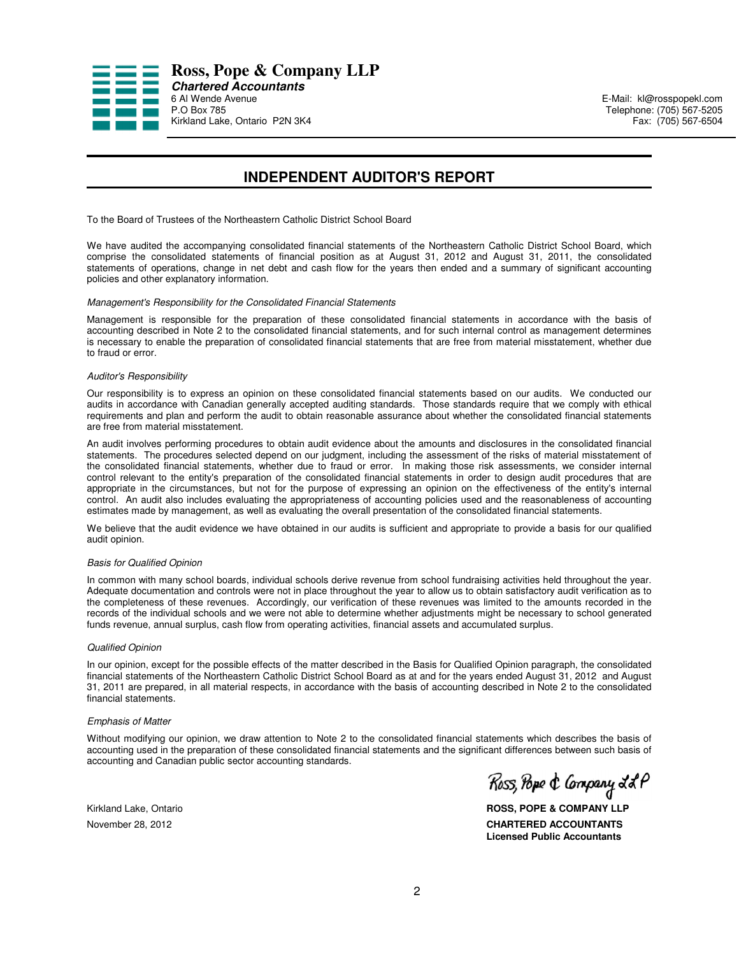

Telephone: (705) 567-5205<br>Fax: (705) 567-6504

## **INDEPENDENT AUDITOR'S REPORT**

To the Board of Trustees of the Northeastern Catholic District School Board

We have audited the accompanying consolidated financial statements of the Northeastern Catholic District School Board, which comprise the consolidated statements of financial position as at August 31, 2012 and August 31, 2011, the consolidated statements of operations, change in net debt and cash flow for the years then ended and a summary of significant accounting policies and other explanatory information.

#### Management's Responsibility for the Consolidated Financial Statements

Management is responsible for the preparation of these consolidated financial statements in accordance with the basis of accounting described in Note 2 to the consolidated financial statements, and for such internal control as management determines is necessary to enable the preparation of consolidated financial statements that are free from material misstatement, whether due to fraud or error.

#### Auditor's Responsibility

Our responsibility is to express an opinion on these consolidated financial statements based on our audits. We conducted our audits in accordance with Canadian generally accepted auditing standards. Those standards require that we comply with ethical requirements and plan and perform the audit to obtain reasonable assurance about whether the consolidated financial statements are free from material misstatement.

An audit involves performing procedures to obtain audit evidence about the amounts and disclosures in the consolidated financial statements. The procedures selected depend on our judgment, including the assessment of the risks of material misstatement of the consolidated financial statements, whether due to fraud or error. In making those risk assessments, we consider internal control relevant to the entity's preparation of the consolidated financial statements in order to design audit procedures that are appropriate in the circumstances, but not for the purpose of expressing an opinion on the effectiveness of the entity's internal control. An audit also includes evaluating the appropriateness of accounting policies used and the reasonableness of accounting estimates made by management, as well as evaluating the overall presentation of the consolidated financial statements.

We believe that the audit evidence we have obtained in our audits is sufficient and appropriate to provide a basis for our qualified audit opinion.

#### Basis for Qualified Opinion

In common with many school boards, individual schools derive revenue from school fundraising activities held throughout the year. Adequate documentation and controls were not in place throughout the year to allow us to obtain satisfactory audit verification as to the completeness of these revenues. Accordingly, our verification of these revenues was limited to the amounts recorded in the records of the individual schools and we were not able to determine whether adjustments might be necessary to school generated funds revenue, annual surplus, cash flow from operating activities, financial assets and accumulated surplus.

#### Qualified Opinion

In our opinion, except for the possible effects of the matter described in the Basis for Qualified Opinion paragraph, the consolidated financial statements of the Northeastern Catholic District School Board as at and for the years ended August 31, 2012 and August 31, 2011 are prepared, in all material respects, in accordance with the basis of accounting described in Note 2 to the consolidated financial statements.

#### Emphasis of Matter

Without modifying our opinion, we draw attention to Note 2 to the consolidated financial statements which describes the basis of accounting used in the preparation of these consolidated financial statements and the significant differences between such basis of accounting and Canadian public sector accounting standards.

Ross, Pope & Company LLP

Kirkland Lake, Ontario **ROSS, POPE & COMPANY LLP** November 28, 2012 **CHARTERED ACCOUNTANTS Licensed Public Accountants**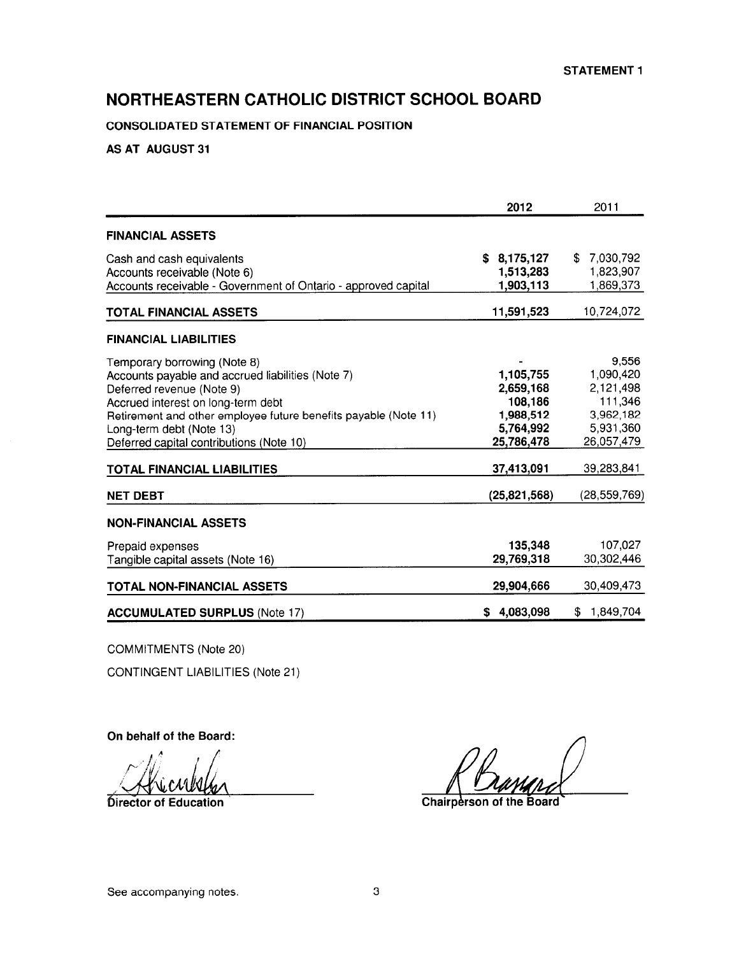**CONSOLIDATED STATEMENT OF FINANCIAL POSITION** 

### AS AT AUGUST 31

|                                                                 | 2012         | 2011             |
|-----------------------------------------------------------------|--------------|------------------|
| <b>FINANCIAL ASSETS</b>                                         |              |                  |
| Cash and cash equivalents                                       | \$8,175,127  | 7,030,792<br>\$. |
| Accounts receivable (Note 6)                                    | 1,513,283    | 1,823,907        |
| Accounts receivable - Government of Ontario - approved capital  | 1,903,113    | 1,869,373        |
| TOTAL FINANCIAL ASSETS                                          | 11,591,523   | 10,724,072       |
| <b>FINANCIAL LIABILITIES</b>                                    |              |                  |
| Temporary borrowing (Note 8)                                    |              | 9.556            |
| Accounts payable and accrued liabilities (Note 7)               | 1,105,755    | 1,090,420        |
| Deferred revenue (Note 9)                                       | 2,659,168    | 2,121,498        |
| Accrued interest on long-term debt                              | 108,186      | 111,346          |
| Retirement and other employee future benefits payable (Note 11) | 1,988,512    | 3,962,182        |
| Long-term debt (Note 13)                                        | 5,764,992    | 5,931,360        |
| Deferred capital contributions (Note 10)                        | 25,786,478   | 26,057,479       |
| <b>TOTAL FINANCIAL LIABILITIES</b>                              | 37,413,091   | 39,283,841       |
| <b>NET DEBT</b>                                                 | (25,821,568) | (28, 559, 769)   |
| <b>NON-FINANCIAL ASSETS</b>                                     |              |                  |
| Prepaid expenses                                                | 135,348      | 107,027          |
| Tangible capital assets (Note 16)                               | 29,769,318   | 30,302,446       |
| TOTAL NON-FINANCIAL ASSETS                                      | 29,904,666   | 30,409,473       |
| <b>ACCUMULATED SURPLUS (Note 17)</b>                            | \$4,083,098  | \$1,849,704      |

**COMMITMENTS (Note 20)** 

**CONTINGENT LIABILITIES (Note 21)** 

On behalf of the Board:

Director of Education

Chairperson of the Board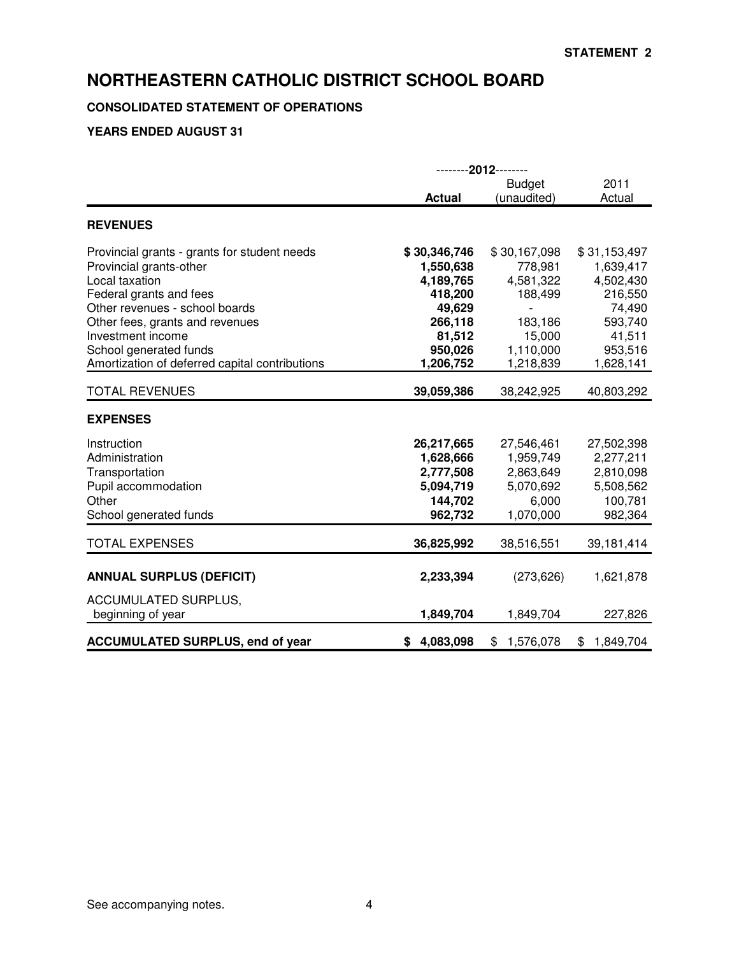## **CONSOLIDATED STATEMENT OF OPERATIONS**

|                                                | --------2012-------- |                              |                 |  |
|------------------------------------------------|----------------------|------------------------------|-----------------|--|
|                                                | <b>Actual</b>        | <b>Budget</b><br>(unaudited) | 2011<br>Actual  |  |
| <b>REVENUES</b>                                |                      |                              |                 |  |
| Provincial grants - grants for student needs   | \$30,346,746         | \$30,167,098                 | \$31,153,497    |  |
| Provincial grants-other                        | 1,550,638            | 778,981                      | 1,639,417       |  |
| Local taxation                                 | 4,189,765            | 4,581,322                    | 4,502,430       |  |
| Federal grants and fees                        | 418,200              | 188,499                      | 216,550         |  |
| Other revenues - school boards                 | 49,629               | $\overline{\phantom{a}}$     | 74,490          |  |
| Other fees, grants and revenues                | 266,118              | 183,186                      | 593,740         |  |
| Investment income                              | 81,512               | 15,000                       | 41,511          |  |
| School generated funds                         | 950,026              | 1,110,000                    | 953,516         |  |
| Amortization of deferred capital contributions | 1,206,752            | 1,218,839                    | 1,628,141       |  |
| TOTAL REVENUES                                 | 39,059,386           | 38,242,925                   | 40,803,292      |  |
| <b>EXPENSES</b>                                |                      |                              |                 |  |
| Instruction                                    | 26,217,665           | 27,546,461                   | 27,502,398      |  |
| Administration                                 | 1,628,666            | 1,959,749                    | 2,277,211       |  |
| Transportation                                 | 2,777,508            | 2,863,649                    | 2,810,098       |  |
| Pupil accommodation                            | 5,094,719            | 5,070,692                    | 5,508,562       |  |
| Other                                          | 144,702              | 6,000                        | 100,781         |  |
| School generated funds                         | 962,732              | 1,070,000                    | 982,364         |  |
| <b>TOTAL EXPENSES</b>                          | 36,825,992           | 38,516,551                   | 39,181,414      |  |
|                                                |                      |                              |                 |  |
| <b>ANNUAL SURPLUS (DEFICIT)</b>                | 2,233,394            | (273, 626)                   | 1,621,878       |  |
| <b>ACCUMULATED SURPLUS,</b>                    |                      |                              |                 |  |
| beginning of year                              | 1,849,704            | 1,849,704                    | 227,826         |  |
| <b>ACCUMULATED SURPLUS, end of year</b>        | 4,083,098<br>\$      | 1,576,078<br>\$              | 1,849,704<br>\$ |  |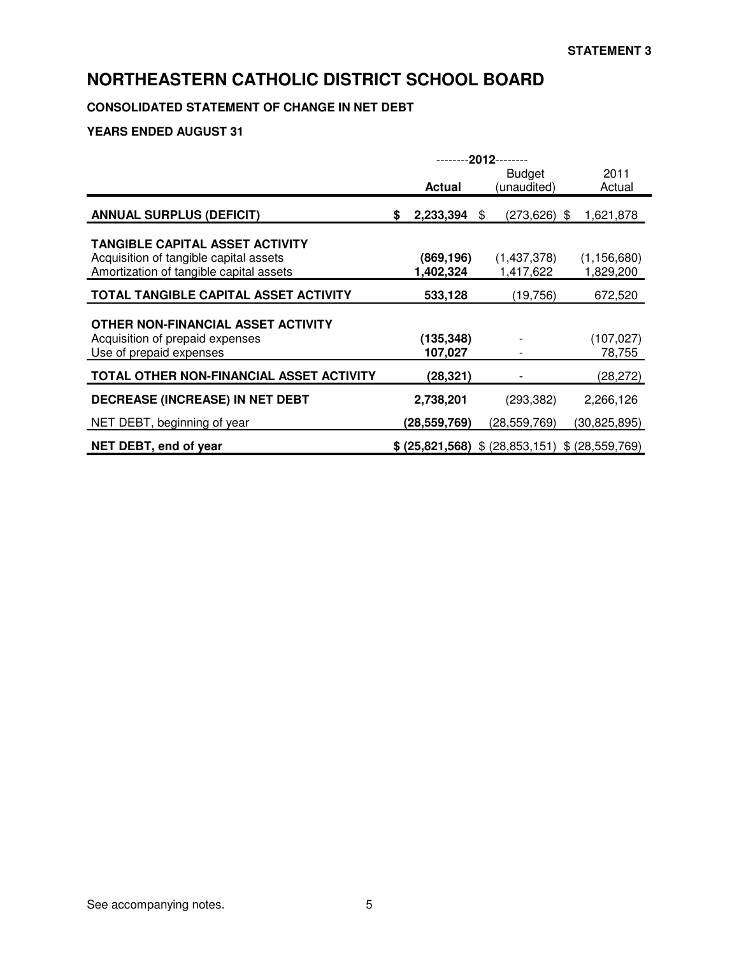## **CONSOLIDATED STATEMENT OF CHANGE IN NET DEBT**

|                                                                                                                             |                                 | $-2012$ --------             |                            |
|-----------------------------------------------------------------------------------------------------------------------------|---------------------------------|------------------------------|----------------------------|
|                                                                                                                             | <b>Actual</b>                   | <b>Budget</b><br>(unaudited) | 2011<br>Actual             |
| <b>ANNUAL SURPLUS (DEFICIT)</b>                                                                                             | \$<br>2,233,394                 | \$<br>$(273, 626)$ \$        | 1,621,878                  |
| <b>TANGIBLE CAPITAL ASSET ACTIVITY</b><br>Acquisition of tangible capital assets<br>Amortization of tangible capital assets | (869,196)<br>1,402,324          | (1,437,378)<br>1,417,622     | (1, 156, 680)<br>1,829,200 |
| TOTAL TANGIBLE CAPITAL ASSET ACTIVITY                                                                                       | 533,128                         | (19, 756)                    | 672,520                    |
| OTHER NON-FINANCIAL ASSET ACTIVITY<br>Acquisition of prepaid expenses<br>Use of prepaid expenses                            | (135, 348)<br>107,027           |                              | (107, 027)<br>78,755       |
| TOTAL OTHER NON-FINANCIAL ASSET ACTIVITY                                                                                    | (28, 321)                       |                              | (28, 272)                  |
| <b>DECREASE (INCREASE) IN NET DEBT</b>                                                                                      | 2,738,201                       | (293, 382)                   | 2,266,126                  |
| NET DEBT, beginning of year                                                                                                 | (28,559,769)                    | (28, 559, 769)               | (30,825,895)               |
| NET DEBT, end of year                                                                                                       | \$ (25,821,568) \$ (28,853,151) |                              | \$ (28, 559, 769)          |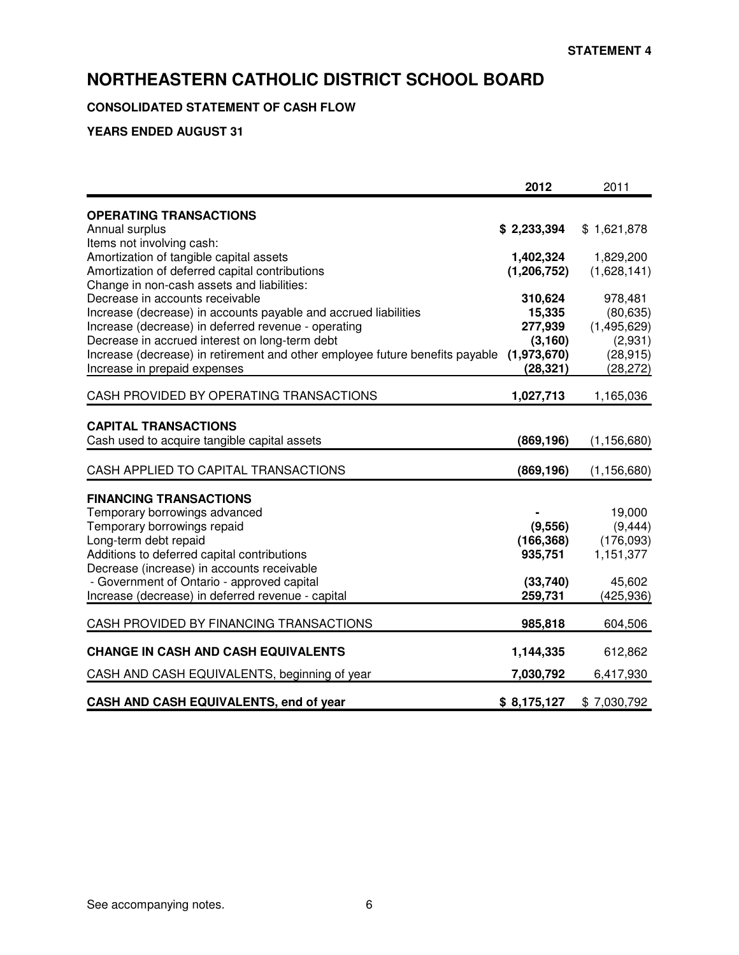## **CONSOLIDATED STATEMENT OF CASH FLOW**

|                                                                              | 2012          | 2011          |
|------------------------------------------------------------------------------|---------------|---------------|
| <b>OPERATING TRANSACTIONS</b>                                                |               |               |
| Annual surplus                                                               | \$2,233,394   | \$1,621,878   |
| Items not involving cash:                                                    |               |               |
| Amortization of tangible capital assets                                      | 1,402,324     | 1,829,200     |
| Amortization of deferred capital contributions                               | (1, 206, 752) | (1,628,141)   |
| Change in non-cash assets and liabilities:                                   |               |               |
| Decrease in accounts receivable                                              | 310,624       | 978,481       |
| Increase (decrease) in accounts payable and accrued liabilities              | 15,335        | (80, 635)     |
| Increase (decrease) in deferred revenue - operating                          | 277,939       | (1,495,629)   |
| Decrease in accrued interest on long-term debt                               | (3, 160)      | (2,931)       |
| Increase (decrease) in retirement and other employee future benefits payable | (1,973,670)   | (28, 915)     |
| Increase in prepaid expenses                                                 | (28, 321)     | (28, 272)     |
| CASH PROVIDED BY OPERATING TRANSACTIONS                                      | 1,027,713     | 1,165,036     |
|                                                                              |               |               |
| <b>CAPITAL TRANSACTIONS</b>                                                  |               |               |
| Cash used to acquire tangible capital assets                                 | (869, 196)    | (1, 156, 680) |
|                                                                              |               |               |
| CASH APPLIED TO CAPITAL TRANSACTIONS                                         | (869, 196)    | (1, 156, 680) |
| <b>FINANCING TRANSACTIONS</b>                                                |               |               |
| Temporary borrowings advanced                                                |               | 19,000        |
| Temporary borrowings repaid                                                  | (9, 556)      | (9, 444)      |
| Long-term debt repaid                                                        | (166, 368)    | (176,093)     |
| Additions to deferred capital contributions                                  | 935,751       | 1,151,377     |
| Decrease (increase) in accounts receivable                                   |               |               |
| - Government of Ontario - approved capital                                   | (33,740)      | 45,602        |
| Increase (decrease) in deferred revenue - capital                            | 259,731       | (425, 936)    |
|                                                                              |               |               |
| CASH PROVIDED BY FINANCING TRANSACTIONS                                      | 985,818       | 604,506       |
| <b>CHANGE IN CASH AND CASH EQUIVALENTS</b>                                   | 1,144,335     | 612,862       |
| CASH AND CASH EQUIVALENTS, beginning of year                                 | 7,030,792     |               |
|                                                                              |               | 6,417,930     |
| CASH AND CASH EQUIVALENTS, end of year                                       | \$8,175,127   | \$7,030,792   |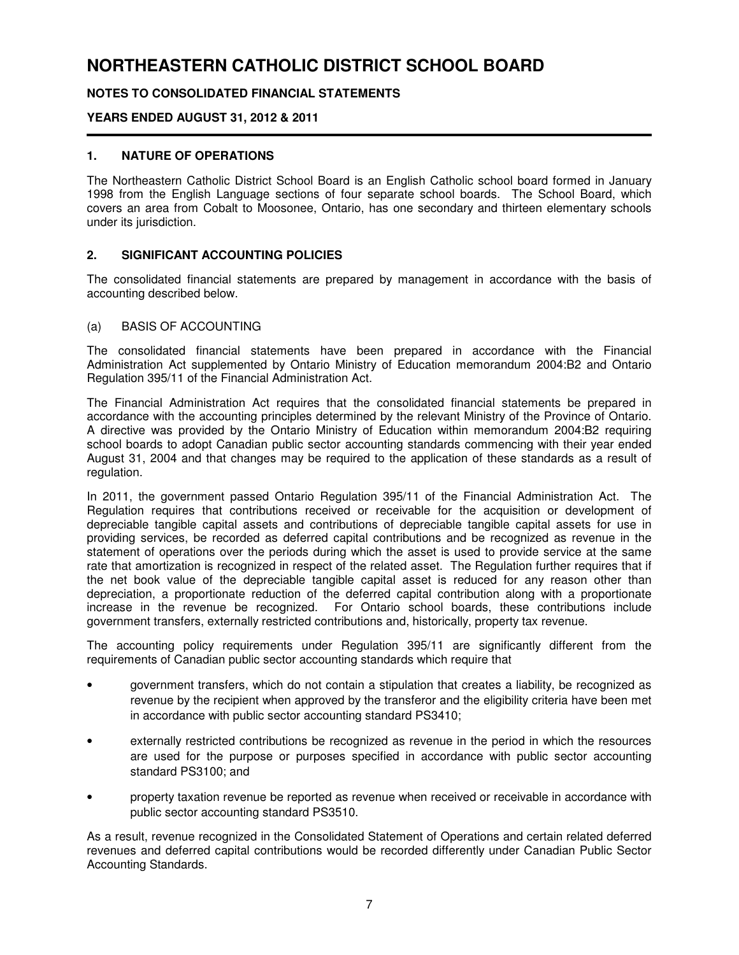## **NOTES TO CONSOLIDATED FINANCIAL STATEMENTS**

### **YEARS ENDED AUGUST 31, 2012 & 2011**

### **1. NATURE OF OPERATIONS**

The Northeastern Catholic District School Board is an English Catholic school board formed in January 1998 from the English Language sections of four separate school boards. The School Board, which covers an area from Cobalt to Moosonee, Ontario, has one secondary and thirteen elementary schools under its jurisdiction.

### **2. SIGNIFICANT ACCOUNTING POLICIES**

The consolidated financial statements are prepared by management in accordance with the basis of accounting described below.

#### (a) BASIS OF ACCOUNTING

The consolidated financial statements have been prepared in accordance with the Financial Administration Act supplemented by Ontario Ministry of Education memorandum 2004:B2 and Ontario Regulation 395/11 of the Financial Administration Act.

The Financial Administration Act requires that the consolidated financial statements be prepared in accordance with the accounting principles determined by the relevant Ministry of the Province of Ontario. A directive was provided by the Ontario Ministry of Education within memorandum 2004:B2 requiring school boards to adopt Canadian public sector accounting standards commencing with their year ended August 31, 2004 and that changes may be required to the application of these standards as a result of regulation.

In 2011, the government passed Ontario Regulation 395/11 of the Financial Administration Act. The Regulation requires that contributions received or receivable for the acquisition or development of depreciable tangible capital assets and contributions of depreciable tangible capital assets for use in providing services, be recorded as deferred capital contributions and be recognized as revenue in the statement of operations over the periods during which the asset is used to provide service at the same rate that amortization is recognized in respect of the related asset. The Regulation further requires that if the net book value of the depreciable tangible capital asset is reduced for any reason other than depreciation, a proportionate reduction of the deferred capital contribution along with a proportionate increase in the revenue be recognized. For Ontario school boards, these contributions include government transfers, externally restricted contributions and, historically, property tax revenue.

The accounting policy requirements under Regulation 395/11 are significantly different from the requirements of Canadian public sector accounting standards which require that

- government transfers, which do not contain a stipulation that creates a liability, be recognized as revenue by the recipient when approved by the transferor and the eligibility criteria have been met in accordance with public sector accounting standard PS3410;
- externally restricted contributions be recognized as revenue in the period in which the resources are used for the purpose or purposes specified in accordance with public sector accounting standard PS3100; and
- property taxation revenue be reported as revenue when received or receivable in accordance with public sector accounting standard PS3510.

As a result, revenue recognized in the Consolidated Statement of Operations and certain related deferred revenues and deferred capital contributions would be recorded differently under Canadian Public Sector Accounting Standards.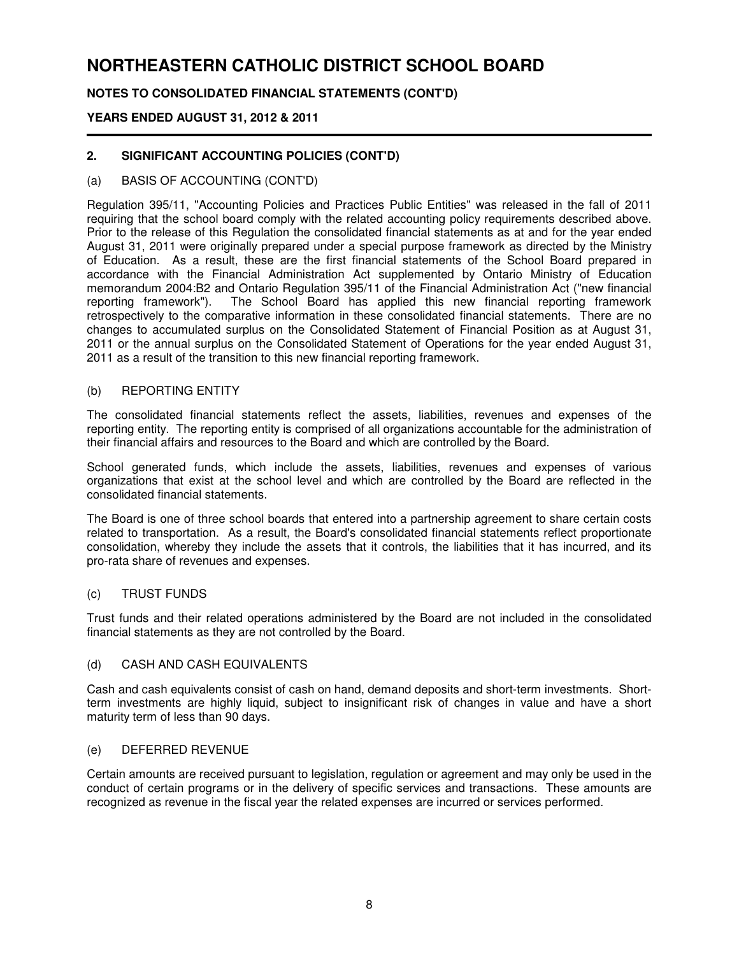## **NOTES TO CONSOLIDATED FINANCIAL STATEMENTS (CONT'D)**

### **YEARS ENDED AUGUST 31, 2012 & 2011**

## **2. SIGNIFICANT ACCOUNTING POLICIES (CONT'D)**

### (a) BASIS OF ACCOUNTING (CONT'D)

Regulation 395/11, "Accounting Policies and Practices Public Entities" was released in the fall of 2011 requiring that the school board comply with the related accounting policy requirements described above. Prior to the release of this Regulation the consolidated financial statements as at and for the year ended August 31, 2011 were originally prepared under a special purpose framework as directed by the Ministry of Education. As a result, these are the first financial statements of the School Board prepared in accordance with the Financial Administration Act supplemented by Ontario Ministry of Education memorandum 2004:B2 and Ontario Regulation 395/11 of the Financial Administration Act ("new financial reporting framework"). The School Board has applied this new financial reporting framework retrospectively to the comparative information in these consolidated financial statements. There are no changes to accumulated surplus on the Consolidated Statement of Financial Position as at August 31, 2011 or the annual surplus on the Consolidated Statement of Operations for the year ended August 31, 2011 as a result of the transition to this new financial reporting framework.

#### (b) REPORTING ENTITY

The consolidated financial statements reflect the assets, liabilities, revenues and expenses of the reporting entity. The reporting entity is comprised of all organizations accountable for the administration of their financial affairs and resources to the Board and which are controlled by the Board.

School generated funds, which include the assets, liabilities, revenues and expenses of various organizations that exist at the school level and which are controlled by the Board are reflected in the consolidated financial statements.

The Board is one of three school boards that entered into a partnership agreement to share certain costs related to transportation. As a result, the Board's consolidated financial statements reflect proportionate consolidation, whereby they include the assets that it controls, the liabilities that it has incurred, and its pro-rata share of revenues and expenses.

#### (c) TRUST FUNDS

Trust funds and their related operations administered by the Board are not included in the consolidated financial statements as they are not controlled by the Board.

#### (d) CASH AND CASH EQUIVALENTS

Cash and cash equivalents consist of cash on hand, demand deposits and short-term investments. Shortterm investments are highly liquid, subject to insignificant risk of changes in value and have a short maturity term of less than 90 days.

#### (e) DEFERRED REVENUE

Certain amounts are received pursuant to legislation, regulation or agreement and may only be used in the conduct of certain programs or in the delivery of specific services and transactions. These amounts are recognized as revenue in the fiscal year the related expenses are incurred or services performed.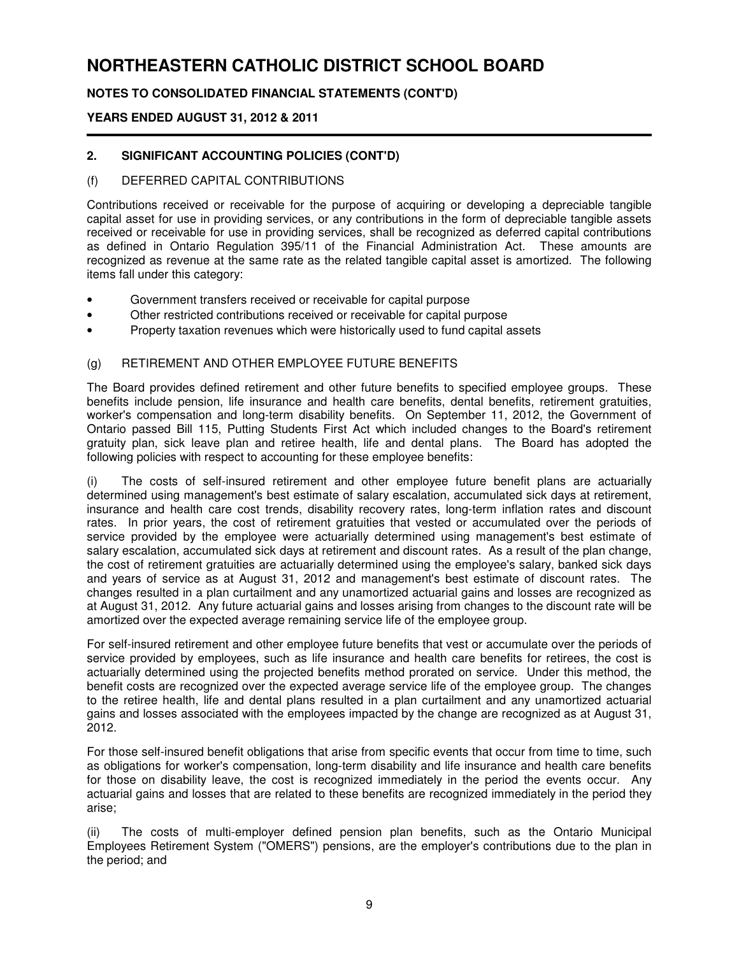## **NOTES TO CONSOLIDATED FINANCIAL STATEMENTS (CONT'D)**

### **YEARS ENDED AUGUST 31, 2012 & 2011**

## **2. SIGNIFICANT ACCOUNTING POLICIES (CONT'D)**

## (f) DEFERRED CAPITAL CONTRIBUTIONS

Contributions received or receivable for the purpose of acquiring or developing a depreciable tangible capital asset for use in providing services, or any contributions in the form of depreciable tangible assets received or receivable for use in providing services, shall be recognized as deferred capital contributions as defined in Ontario Regulation 395/11 of the Financial Administration Act. These amounts are recognized as revenue at the same rate as the related tangible capital asset is amortized. The following items fall under this category:

- Government transfers received or receivable for capital purpose
- Other restricted contributions received or receivable for capital purpose
- Property taxation revenues which were historically used to fund capital assets

#### (g) RETIREMENT AND OTHER EMPLOYEE FUTURE BENEFITS

The Board provides defined retirement and other future benefits to specified employee groups. These benefits include pension, life insurance and health care benefits, dental benefits, retirement gratuities, worker's compensation and long-term disability benefits. On September 11, 2012, the Government of Ontario passed Bill 115, Putting Students First Act which included changes to the Board's retirement gratuity plan, sick leave plan and retiree health, life and dental plans. The Board has adopted the following policies with respect to accounting for these employee benefits:

(i) The costs of self-insured retirement and other employee future benefit plans are actuarially determined using management's best estimate of salary escalation, accumulated sick days at retirement, insurance and health care cost trends, disability recovery rates, long-term inflation rates and discount rates. In prior years, the cost of retirement gratuities that vested or accumulated over the periods of service provided by the employee were actuarially determined using management's best estimate of salary escalation, accumulated sick days at retirement and discount rates. As a result of the plan change, the cost of retirement gratuities are actuarially determined using the employee's salary, banked sick days and years of service as at August 31, 2012 and management's best estimate of discount rates. The changes resulted in a plan curtailment and any unamortized actuarial gains and losses are recognized as at August 31, 2012. Any future actuarial gains and losses arising from changes to the discount rate will be amortized over the expected average remaining service life of the employee group.

For self-insured retirement and other employee future benefits that vest or accumulate over the periods of service provided by employees, such as life insurance and health care benefits for retirees, the cost is actuarially determined using the projected benefits method prorated on service. Under this method, the benefit costs are recognized over the expected average service life of the employee group. The changes to the retiree health, life and dental plans resulted in a plan curtailment and any unamortized actuarial gains and losses associated with the employees impacted by the change are recognized as at August 31, 2012.

For those self-insured benefit obligations that arise from specific events that occur from time to time, such as obligations for worker's compensation, long-term disability and life insurance and health care benefits for those on disability leave, the cost is recognized immediately in the period the events occur. Any actuarial gains and losses that are related to these benefits are recognized immediately in the period they arise;

(ii) The costs of multi-employer defined pension plan benefits, such as the Ontario Municipal Employees Retirement System ("OMERS") pensions, are the employer's contributions due to the plan in the period; and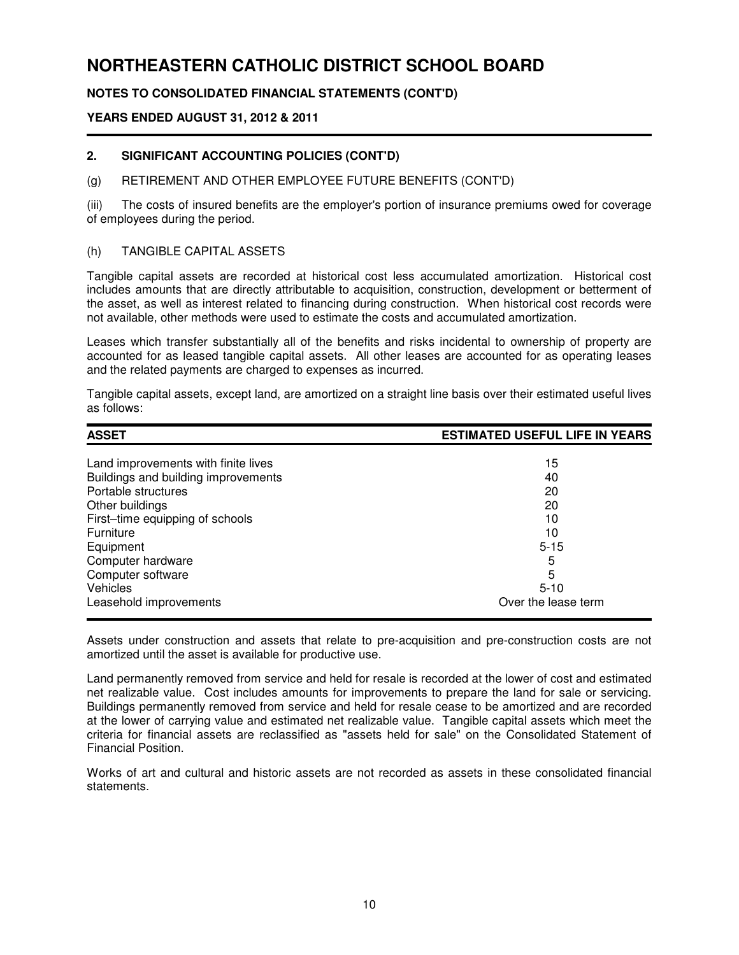## **NOTES TO CONSOLIDATED FINANCIAL STATEMENTS (CONT'D)**

#### **YEARS ENDED AUGUST 31, 2012 & 2011**

#### **2. SIGNIFICANT ACCOUNTING POLICIES (CONT'D)**

#### (g) RETIREMENT AND OTHER EMPLOYEE FUTURE BENEFITS (CONT'D)

(iii) The costs of insured benefits are the employer's portion of insurance premiums owed for coverage of employees during the period.

#### (h) TANGIBLE CAPITAL ASSETS

Tangible capital assets are recorded at historical cost less accumulated amortization. Historical cost includes amounts that are directly attributable to acquisition, construction, development or betterment of the asset, as well as interest related to financing during construction. When historical cost records were not available, other methods were used to estimate the costs and accumulated amortization.

Leases which transfer substantially all of the benefits and risks incidental to ownership of property are accounted for as leased tangible capital assets. All other leases are accounted for as operating leases and the related payments are charged to expenses as incurred.

Tangible capital assets, except land, are amortized on a straight line basis over their estimated useful lives as follows:

| <b>ASSET</b>                        | <b>ESTIMATED USEFUL LIFE IN YEARS</b> |
|-------------------------------------|---------------------------------------|
|                                     | 15                                    |
| Land improvements with finite lives |                                       |
| Buildings and building improvements | 40                                    |
| Portable structures                 | 20                                    |
| Other buildings                     | 20                                    |
| First-time equipping of schools     | 10                                    |
| Furniture                           | 10                                    |
| Equipment                           | $5 - 15$                              |
| Computer hardware                   | 5                                     |
| Computer software                   | 5                                     |
| <b>Vehicles</b>                     | $5 - 10$                              |
| Leasehold improvements              | Over the lease term                   |

Assets under construction and assets that relate to pre-acquisition and pre-construction costs are not amortized until the asset is available for productive use.

Land permanently removed from service and held for resale is recorded at the lower of cost and estimated net realizable value. Cost includes amounts for improvements to prepare the land for sale or servicing. Buildings permanently removed from service and held for resale cease to be amortized and are recorded at the lower of carrying value and estimated net realizable value. Tangible capital assets which meet the criteria for financial assets are reclassified as "assets held for sale" on the Consolidated Statement of Financial Position.

Works of art and cultural and historic assets are not recorded as assets in these consolidated financial statements.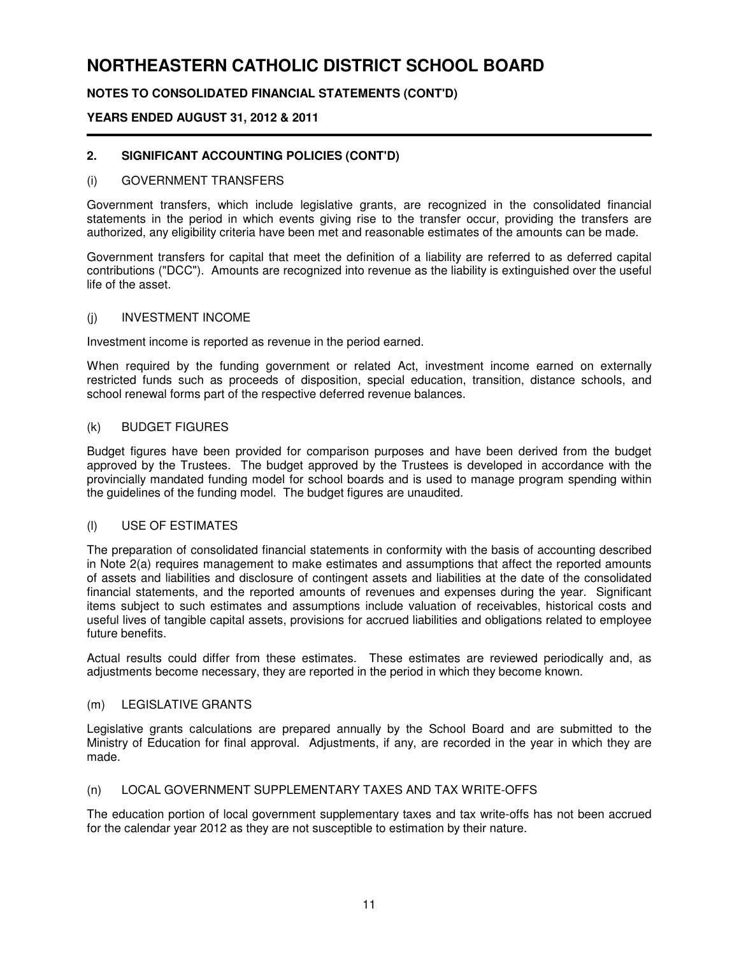## **NOTES TO CONSOLIDATED FINANCIAL STATEMENTS (CONT'D)**

### **YEARS ENDED AUGUST 31, 2012 & 2011**

## **2. SIGNIFICANT ACCOUNTING POLICIES (CONT'D)**

#### (i) GOVERNMENT TRANSFERS

Government transfers, which include legislative grants, are recognized in the consolidated financial statements in the period in which events giving rise to the transfer occur, providing the transfers are authorized, any eligibility criteria have been met and reasonable estimates of the amounts can be made.

Government transfers for capital that meet the definition of a liability are referred to as deferred capital contributions ("DCC"). Amounts are recognized into revenue as the liability is extinguished over the useful life of the asset.

#### (j) INVESTMENT INCOME

Investment income is reported as revenue in the period earned.

When required by the funding government or related Act, investment income earned on externally restricted funds such as proceeds of disposition, special education, transition, distance schools, and school renewal forms part of the respective deferred revenue balances.

#### (k) BUDGET FIGURES

Budget figures have been provided for comparison purposes and have been derived from the budget approved by the Trustees. The budget approved by the Trustees is developed in accordance with the provincially mandated funding model for school boards and is used to manage program spending within the guidelines of the funding model. The budget figures are unaudited.

#### (l) USE OF ESTIMATES

The preparation of consolidated financial statements in conformity with the basis of accounting described in Note 2(a) requires management to make estimates and assumptions that affect the reported amounts of assets and liabilities and disclosure of contingent assets and liabilities at the date of the consolidated financial statements, and the reported amounts of revenues and expenses during the year. Significant items subject to such estimates and assumptions include valuation of receivables, historical costs and useful lives of tangible capital assets, provisions for accrued liabilities and obligations related to employee future benefits.

Actual results could differ from these estimates. These estimates are reviewed periodically and, as adjustments become necessary, they are reported in the period in which they become known.

#### (m) LEGISLATIVE GRANTS

Legislative grants calculations are prepared annually by the School Board and are submitted to the Ministry of Education for final approval. Adjustments, if any, are recorded in the year in which they are made.

#### (n) LOCAL GOVERNMENT SUPPLEMENTARY TAXES AND TAX WRITE-OFFS

The education portion of local government supplementary taxes and tax write-offs has not been accrued for the calendar year 2012 as they are not susceptible to estimation by their nature.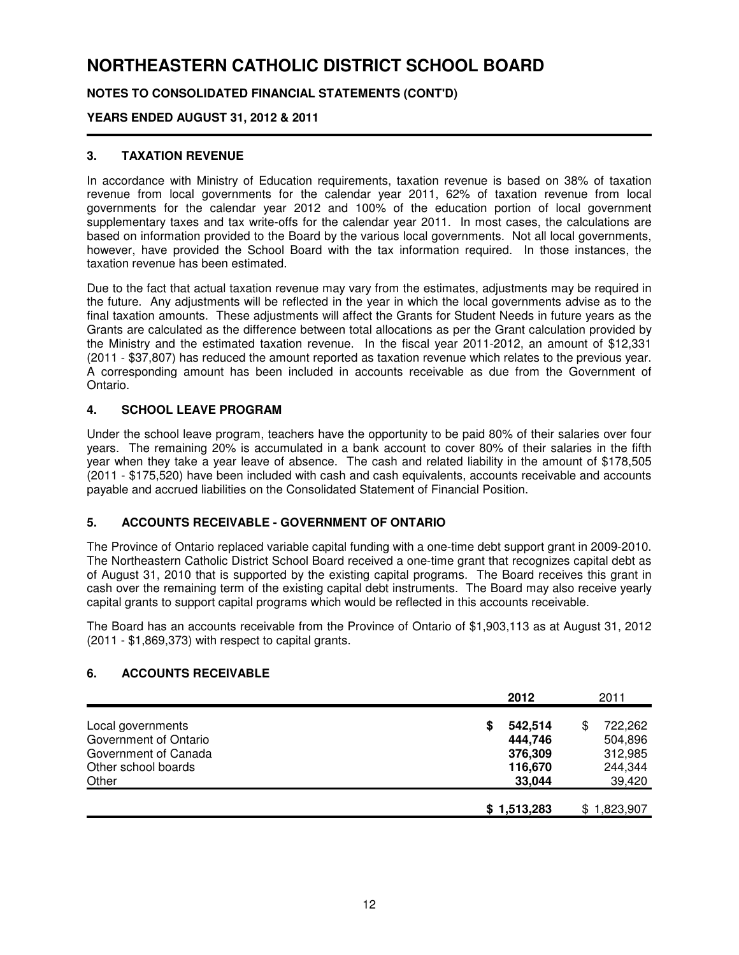## **NOTES TO CONSOLIDATED FINANCIAL STATEMENTS (CONT'D)**

### **YEARS ENDED AUGUST 31, 2012 & 2011**

### **3. TAXATION REVENUE**

In accordance with Ministry of Education requirements, taxation revenue is based on 38% of taxation revenue from local governments for the calendar year 2011, 62% of taxation revenue from local governments for the calendar year 2012 and 100% of the education portion of local government supplementary taxes and tax write-offs for the calendar year 2011. In most cases, the calculations are based on information provided to the Board by the various local governments. Not all local governments, however, have provided the School Board with the tax information required. In those instances, the taxation revenue has been estimated.

Due to the fact that actual taxation revenue may vary from the estimates, adjustments may be required in the future. Any adjustments will be reflected in the year in which the local governments advise as to the final taxation amounts. These adjustments will affect the Grants for Student Needs in future years as the Grants are calculated as the difference between total allocations as per the Grant calculation provided by the Ministry and the estimated taxation revenue. In the fiscal year 2011-2012, an amount of \$12,331 (2011 - \$37,807) has reduced the amount reported as taxation revenue which relates to the previous year. A corresponding amount has been included in accounts receivable as due from the Government of Ontario.

#### **4. SCHOOL LEAVE PROGRAM**

Under the school leave program, teachers have the opportunity to be paid 80% of their salaries over four years. The remaining 20% is accumulated in a bank account to cover 80% of their salaries in the fifth year when they take a year leave of absence. The cash and related liability in the amount of \$178,505 (2011 - \$175,520) have been included with cash and cash equivalents, accounts receivable and accounts payable and accrued liabilities on the Consolidated Statement of Financial Position.

### **5. ACCOUNTS RECEIVABLE - GOVERNMENT OF ONTARIO**

The Province of Ontario replaced variable capital funding with a one-time debt support grant in 2009-2010. The Northeastern Catholic District School Board received a one-time grant that recognizes capital debt as of August 31, 2010 that is supported by the existing capital programs. The Board receives this grant in cash over the remaining term of the existing capital debt instruments. The Board may also receive yearly capital grants to support capital programs which would be reflected in this accounts receivable.

The Board has an accounts receivable from the Province of Ontario of \$1,903,113 as at August 31, 2012 (2011 - \$1,869,373) with respect to capital grants.

## **6. ACCOUNTS RECEIVABLE**

|                                                                                                    | 2012                                                    | 2011                                                     |
|----------------------------------------------------------------------------------------------------|---------------------------------------------------------|----------------------------------------------------------|
| Local governments<br>Government of Ontario<br>Government of Canada<br>Other school boards<br>Other | 542.514<br>S<br>444,746<br>376,309<br>116,670<br>33,044 | 722,262<br>\$<br>504,896<br>312,985<br>244,344<br>39,420 |
|                                                                                                    | \$1,513,283                                             | \$1,823,907                                              |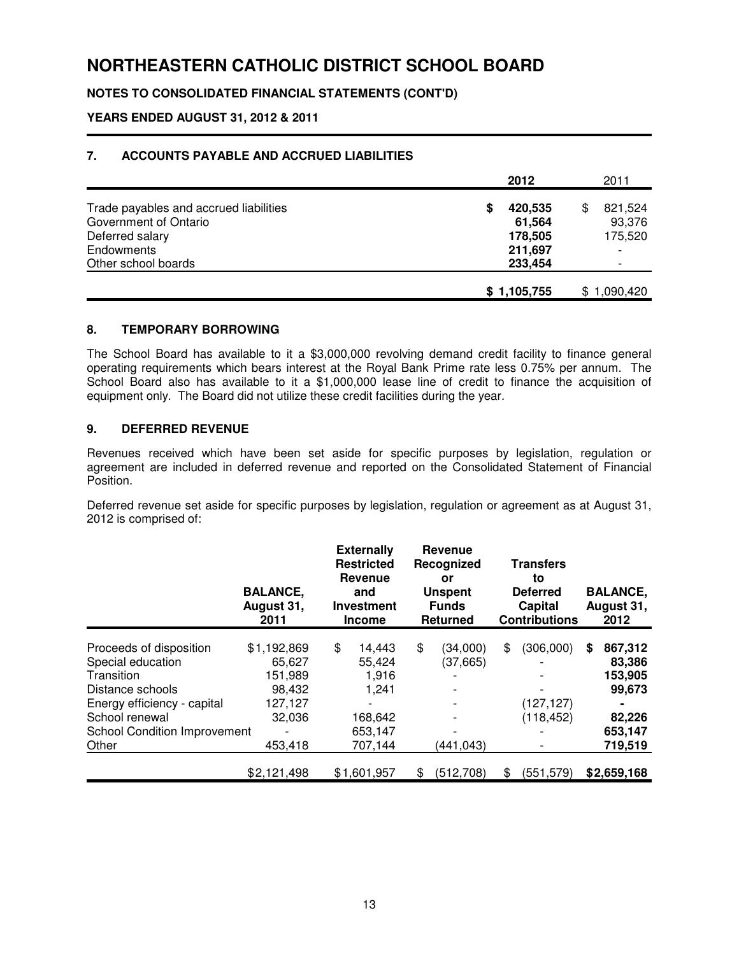## **NOTES TO CONSOLIDATED FINANCIAL STATEMENTS (CONT'D)**

#### **YEARS ENDED AUGUST 31, 2012 & 2011**

### **7. ACCOUNTS PAYABLE AND ACCRUED LIABILITIES**

|                                                                                                  | 2012                                    | 2011                                                 |
|--------------------------------------------------------------------------------------------------|-----------------------------------------|------------------------------------------------------|
| Trade payables and accrued liabilities<br>Government of Ontario<br>Deferred salary<br>Endowments | 420,535<br>61,564<br>178,505<br>211,697 | 821,524<br>\$<br>93,376<br>175,520<br>$\blacksquare$ |
| Other school boards                                                                              | 233,454                                 | $\overline{\phantom{a}}$                             |
|                                                                                                  | \$1,105,755                             | \$1,090,420                                          |

#### **8. TEMPORARY BORROWING**

The School Board has available to it a \$3,000,000 revolving demand credit facility to finance general operating requirements which bears interest at the Royal Bank Prime rate less 0.75% per annum. The School Board also has available to it a \$1,000,000 lease line of credit to finance the acquisition of equipment only. The Board did not utilize these credit facilities during the year.

#### **9. DEFERRED REVENUE**

Revenues received which have been set aside for specific purposes by legislation, regulation or agreement are included in deferred revenue and reported on the Consolidated Statement of Financial Position.

Deferred revenue set aside for specific purposes by legislation, regulation or agreement as at August 31, 2012 is comprised of:

|                                     | <b>BALANCE,</b><br>August 31,<br>2011 | <b>Externally</b><br><b>Restricted</b><br>Revenue<br>and<br><b>Investment</b><br><b>Income</b> | Revenue<br>Recognized<br>or<br><b>Unspent</b><br><b>Funds</b><br><b>Returned</b> |    | <b>Transfers</b><br>to<br><b>Deferred</b><br>Capital<br><b>Contributions</b> |   | <b>BALANCE,</b><br>August 31,<br>2012 |
|-------------------------------------|---------------------------------------|------------------------------------------------------------------------------------------------|----------------------------------------------------------------------------------|----|------------------------------------------------------------------------------|---|---------------------------------------|
|                                     |                                       |                                                                                                |                                                                                  |    |                                                                              |   |                                       |
| Proceeds of disposition             | \$1,192,869                           | \$<br>14,443                                                                                   | \$<br>(34,000)                                                                   | \$ | (306,000)                                                                    | S | 867,312                               |
| Special education                   | 65.627                                | 55,424                                                                                         | (37,665)                                                                         |    |                                                                              |   | 83,386                                |
| Transition                          | 151,989                               | 1,916                                                                                          |                                                                                  |    |                                                                              |   | 153,905                               |
| Distance schools                    | 98,432                                | 1,241                                                                                          |                                                                                  |    |                                                                              |   | 99,673                                |
| Energy efficiency - capital         | 127,127                               |                                                                                                |                                                                                  |    | (127,127)                                                                    |   |                                       |
| School renewal                      | 32,036                                | 168,642                                                                                        |                                                                                  |    | (118, 452)                                                                   |   | 82,226                                |
| <b>School Condition Improvement</b> |                                       | 653,147                                                                                        |                                                                                  |    |                                                                              |   | 653,147                               |
| Other                               | 453,418                               | 707,144                                                                                        | (441, 043)                                                                       |    |                                                                              |   | 719,519                               |
|                                     | \$2,121,498                           | \$1,601,957                                                                                    | \$<br>(512,708)                                                                  | S  | (551, 579)                                                                   |   | \$2,659,168                           |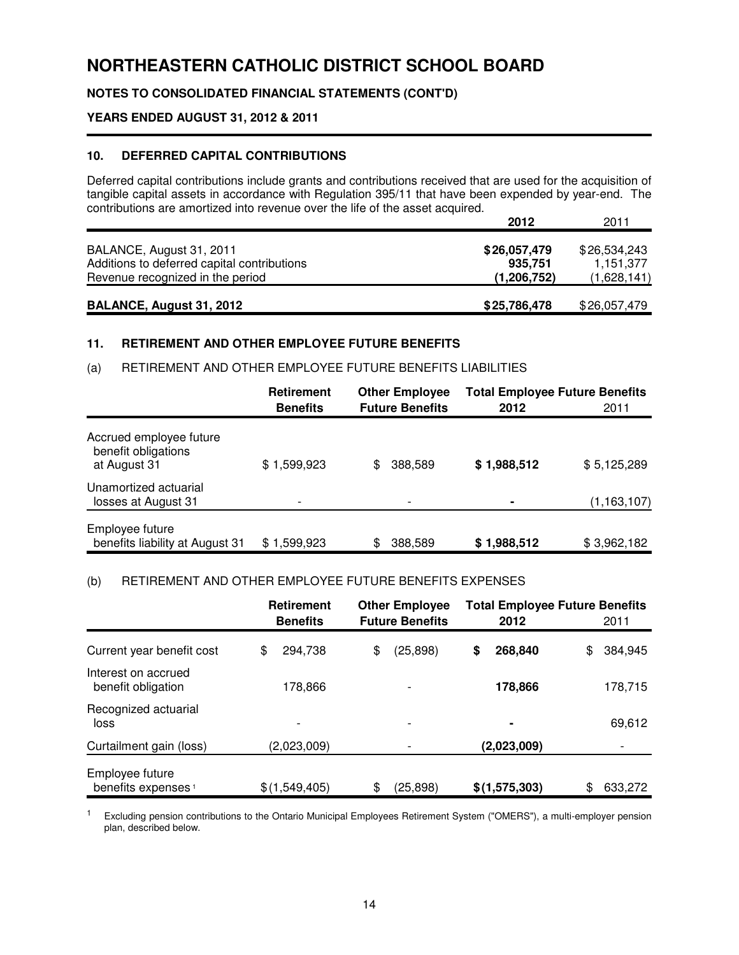## **NOTES TO CONSOLIDATED FINANCIAL STATEMENTS (CONT'D)**

#### **YEARS ENDED AUGUST 31, 2012 & 2011**

#### **10. DEFERRED CAPITAL CONTRIBUTIONS**

Deferred capital contributions include grants and contributions received that are used for the acquisition of tangible capital assets in accordance with Regulation 395/11 that have been expended by year-end. The contributions are amortized into revenue over the life of the asset acquired.

|                                                                                                             | 2012                                   | 2011                                     |
|-------------------------------------------------------------------------------------------------------------|----------------------------------------|------------------------------------------|
| BALANCE, August 31, 2011<br>Additions to deferred capital contributions<br>Revenue recognized in the period | \$26,057,479<br>935.751<br>(1,206,752) | \$26,534,243<br>1.151.377<br>(1,628,141) |
| BALANCE, August 31, 2012                                                                                    | \$25,786,478                           | \$26,057,479                             |

#### **11. RETIREMENT AND OTHER EMPLOYEE FUTURE BENEFITS**

#### (a) RETIREMENT AND OTHER EMPLOYEE FUTURE BENEFITS LIABILITIES

|                                                                | <b>Retirement</b><br><b>Benefits</b> | <b>Other Employee</b><br><b>Future Benefits</b> | <b>Total Employee Future Benefits</b><br>2012 | 2011          |
|----------------------------------------------------------------|--------------------------------------|-------------------------------------------------|-----------------------------------------------|---------------|
| Accrued employee future<br>benefit obligations<br>at August 31 | \$1,599,923                          | 388,589<br>\$                                   | \$1,988,512                                   | \$5,125,289   |
| Unamortized actuarial<br>losses at August 31                   |                                      |                                                 |                                               | (1, 163, 107) |
| Employee future<br>benefits liability at August 31             | \$1,599,923                          | \$<br>388,589                                   | \$1,988,512                                   | \$3,962,182   |

#### (b) RETIREMENT AND OTHER EMPLOYEE FUTURE BENEFITS EXPENSES

|                                                   | <b>Retirement</b><br><b>Benefits</b> | <b>Other Employee</b><br><b>Future Benefits</b> | <b>Total Employee Future Benefits</b><br>2012<br>2011 |               |  |  |  |  |
|---------------------------------------------------|--------------------------------------|-------------------------------------------------|-------------------------------------------------------|---------------|--|--|--|--|
| Current year benefit cost                         | 294,738<br>\$                        | \$<br>(25, 898)                                 | 268,840<br>\$                                         | 384,945<br>\$ |  |  |  |  |
| Interest on accrued<br>benefit obligation         | 178,866                              |                                                 | 178,866                                               | 178,715       |  |  |  |  |
| Recognized actuarial<br>loss                      |                                      |                                                 |                                                       | 69,612        |  |  |  |  |
| Curtailment gain (loss)                           | (2,023,009)                          |                                                 | (2,023,009)                                           |               |  |  |  |  |
| Employee future<br>benefits expenses <sup>1</sup> | \$(1,549,405)                        | \$<br>(25, 898)                                 | \$(1,575,303)                                         | \$<br>633,272 |  |  |  |  |

<sup>1</sup> Excluding pension contributions to the Ontario Municipal Employees Retirement System ("OMERS"), a multi-employer pension plan, described below.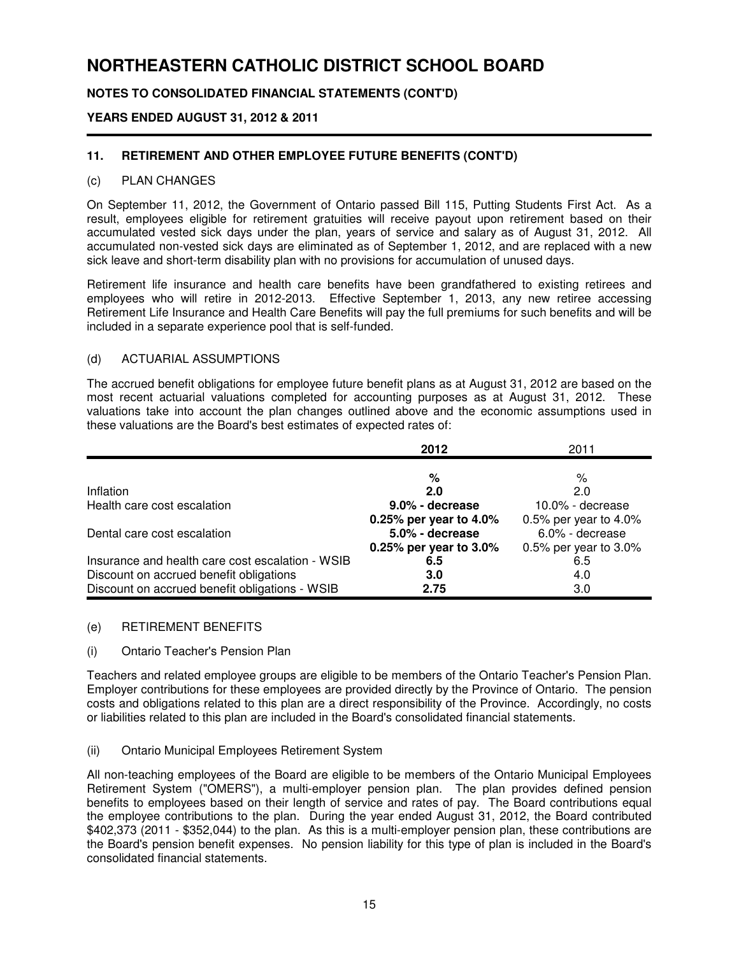## **NOTES TO CONSOLIDATED FINANCIAL STATEMENTS (CONT'D)**

#### **YEARS ENDED AUGUST 31, 2012 & 2011**

### **11. RETIREMENT AND OTHER EMPLOYEE FUTURE BENEFITS (CONT'D)**

#### (c) PLAN CHANGES

On September 11, 2012, the Government of Ontario passed Bill 115, Putting Students First Act. As a result, employees eligible for retirement gratuities will receive payout upon retirement based on their accumulated vested sick days under the plan, years of service and salary as of August 31, 2012. All accumulated non-vested sick days are eliminated as of September 1, 2012, and are replaced with a new sick leave and short-term disability plan with no provisions for accumulation of unused days.

Retirement life insurance and health care benefits have been grandfathered to existing retirees and employees who will retire in 2012-2013. Effective September 1, 2013, any new retiree accessing Retirement Life Insurance and Health Care Benefits will pay the full premiums for such benefits and will be included in a separate experience pool that is self-funded.

#### (d) ACTUARIAL ASSUMPTIONS

The accrued benefit obligations for employee future benefit plans as at August 31, 2012 are based on the most recent actuarial valuations completed for accounting purposes as at August 31, 2012. These valuations take into account the plan changes outlined above and the economic assumptions used in these valuations are the Board's best estimates of expected rates of:

|                                                  | 2012                   | 2011                     |
|--------------------------------------------------|------------------------|--------------------------|
|                                                  |                        |                          |
|                                                  | %                      | %                        |
| Inflation                                        | 2.0                    | 2.0                      |
| Health care cost escalation                      | 9.0% - decrease        | $10.0\%$ - decrease      |
|                                                  | 0.25% per year to 4.0% | 0.5% per year to $4.0\%$ |
| Dental care cost escalation                      | 5.0% - decrease        | $6.0\%$ - decrease       |
|                                                  | 0.25% per year to 3.0% | 0.5% per year to $3.0\%$ |
| Insurance and health care cost escalation - WSIB | 6.5                    | 6.5                      |
| Discount on accrued benefit obligations          | 3.0                    | 4.0                      |
| Discount on accrued benefit obligations - WSIB   | 2.75                   | 3.0                      |

#### (e) RETIREMENT BENEFITS

#### (i) Ontario Teacher's Pension Plan

Teachers and related employee groups are eligible to be members of the Ontario Teacher's Pension Plan. Employer contributions for these employees are provided directly by the Province of Ontario. The pension costs and obligations related to this plan are a direct responsibility of the Province. Accordingly, no costs or liabilities related to this plan are included in the Board's consolidated financial statements.

#### (ii) Ontario Municipal Employees Retirement System

All non-teaching employees of the Board are eligible to be members of the Ontario Municipal Employees Retirement System ("OMERS"), a multi-employer pension plan. The plan provides defined pension benefits to employees based on their length of service and rates of pay. The Board contributions equal the employee contributions to the plan. During the year ended August 31, 2012, the Board contributed \$402,373 (2011 - \$352,044) to the plan. As this is a multi-employer pension plan, these contributions are the Board's pension benefit expenses. No pension liability for this type of plan is included in the Board's consolidated financial statements.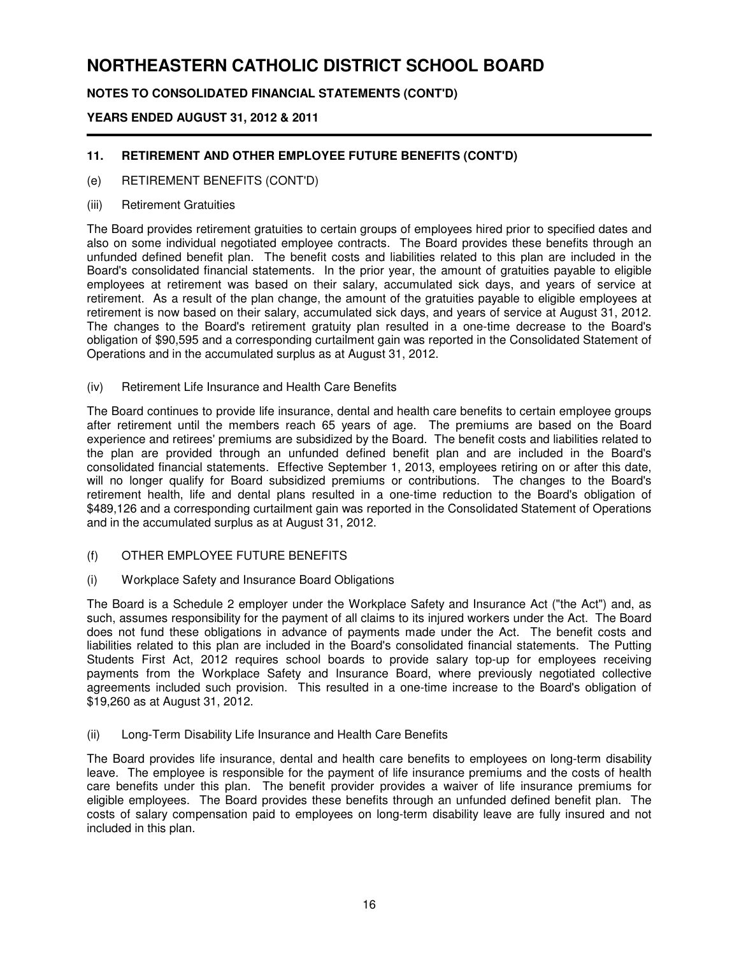## **NOTES TO CONSOLIDATED FINANCIAL STATEMENTS (CONT'D)**

### **YEARS ENDED AUGUST 31, 2012 & 2011**

## **11. RETIREMENT AND OTHER EMPLOYEE FUTURE BENEFITS (CONT'D)**

- (e) RETIREMENT BENEFITS (CONT'D)
- (iii) Retirement Gratuities

The Board provides retirement gratuities to certain groups of employees hired prior to specified dates and also on some individual negotiated employee contracts. The Board provides these benefits through an unfunded defined benefit plan. The benefit costs and liabilities related to this plan are included in the Board's consolidated financial statements. In the prior year, the amount of gratuities payable to eligible employees at retirement was based on their salary, accumulated sick days, and years of service at retirement. As a result of the plan change, the amount of the gratuities payable to eligible employees at retirement is now based on their salary, accumulated sick days, and years of service at August 31, 2012. The changes to the Board's retirement gratuity plan resulted in a one-time decrease to the Board's obligation of \$90,595 and a corresponding curtailment gain was reported in the Consolidated Statement of Operations and in the accumulated surplus as at August 31, 2012.

(iv) Retirement Life Insurance and Health Care Benefits

The Board continues to provide life insurance, dental and health care benefits to certain employee groups after retirement until the members reach 65 years of age. The premiums are based on the Board experience and retirees' premiums are subsidized by the Board. The benefit costs and liabilities related to the plan are provided through an unfunded defined benefit plan and are included in the Board's consolidated financial statements. Effective September 1, 2013, employees retiring on or after this date, will no longer qualify for Board subsidized premiums or contributions. The changes to the Board's retirement health, life and dental plans resulted in a one-time reduction to the Board's obligation of \$489,126 and a corresponding curtailment gain was reported in the Consolidated Statement of Operations and in the accumulated surplus as at August 31, 2012.

- (f) OTHER EMPLOYEE FUTURE BENEFITS
- (i) Workplace Safety and Insurance Board Obligations

The Board is a Schedule 2 employer under the Workplace Safety and Insurance Act ("the Act") and, as such, assumes responsibility for the payment of all claims to its injured workers under the Act. The Board does not fund these obligations in advance of payments made under the Act. The benefit costs and liabilities related to this plan are included in the Board's consolidated financial statements. The Putting Students First Act, 2012 requires school boards to provide salary top-up for employees receiving payments from the Workplace Safety and Insurance Board, where previously negotiated collective agreements included such provision. This resulted in a one-time increase to the Board's obligation of \$19,260 as at August 31, 2012.

(ii) Long-Term Disability Life Insurance and Health Care Benefits

The Board provides life insurance, dental and health care benefits to employees on long-term disability leave. The employee is responsible for the payment of life insurance premiums and the costs of health care benefits under this plan. The benefit provider provides a waiver of life insurance premiums for eligible employees. The Board provides these benefits through an unfunded defined benefit plan. The costs of salary compensation paid to employees on long-term disability leave are fully insured and not included in this plan.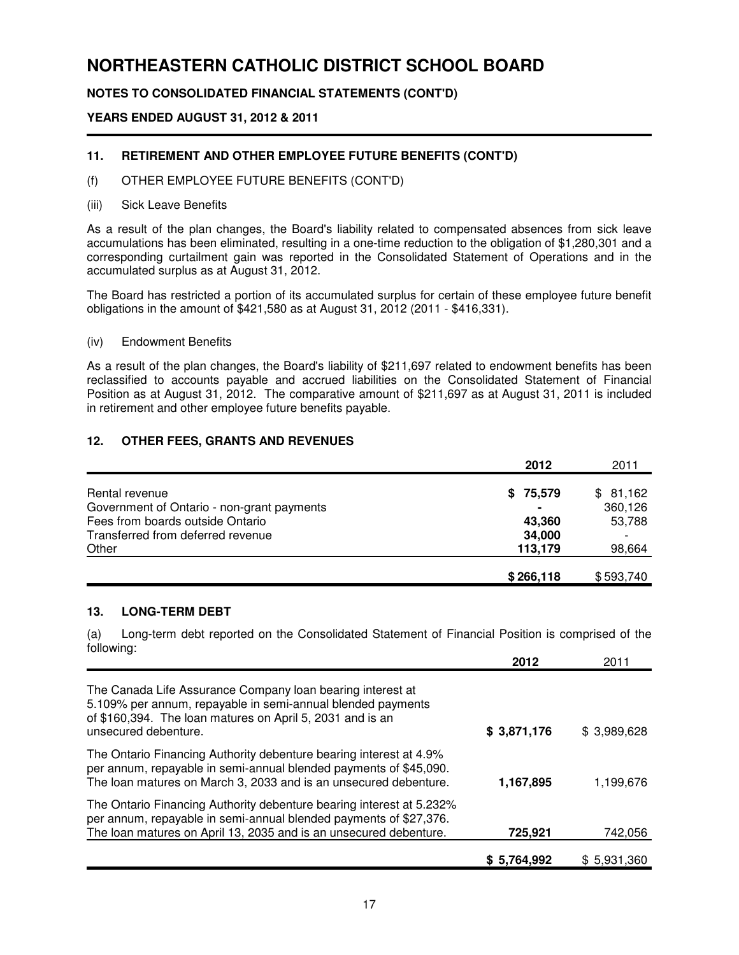## **NOTES TO CONSOLIDATED FINANCIAL STATEMENTS (CONT'D)**

### **YEARS ENDED AUGUST 31, 2012 & 2011**

## **11. RETIREMENT AND OTHER EMPLOYEE FUTURE BENEFITS (CONT'D)**

#### (f) OTHER EMPLOYEE FUTURE BENEFITS (CONT'D)

#### (iii) Sick Leave Benefits

As a result of the plan changes, the Board's liability related to compensated absences from sick leave accumulations has been eliminated, resulting in a one-time reduction to the obligation of \$1,280,301 and a corresponding curtailment gain was reported in the Consolidated Statement of Operations and in the accumulated surplus as at August 31, 2012.

The Board has restricted a portion of its accumulated surplus for certain of these employee future benefit obligations in the amount of \$421,580 as at August 31, 2012 (2011 - \$416,331).

#### (iv) Endowment Benefits

As a result of the plan changes, the Board's liability of \$211,697 related to endowment benefits has been reclassified to accounts payable and accrued liabilities on the Consolidated Statement of Financial Position as at August 31, 2012. The comparative amount of \$211,697 as at August 31, 2011 is included in retirement and other employee future benefits payable.

#### **12. OTHER FEES, GRANTS AND REVENUES**

|                                            | 2012      | 2011      |
|--------------------------------------------|-----------|-----------|
| Rental revenue                             | \$75,579  | \$81,162  |
| Government of Ontario - non-grant payments |           | 360,126   |
| Fees from boards outside Ontario           | 43,360    | 53,788    |
| Transferred from deferred revenue          | 34,000    |           |
| Other                                      | 113,179   | 98,664    |
|                                            |           |           |
|                                            | \$266,118 | \$593,740 |

#### **13. LONG-TERM DEBT**

(a) Long-term debt reported on the Consolidated Statement of Financial Position is comprised of the following: **2012** 2011

|                                                                                                                                                                                                                | ZUIZ        | <b>4911</b> |
|----------------------------------------------------------------------------------------------------------------------------------------------------------------------------------------------------------------|-------------|-------------|
| The Canada Life Assurance Company loan bearing interest at<br>5.109% per annum, repayable in semi-annual blended payments<br>of \$160,394. The loan matures on April 5, 2031 and is an<br>unsecured debenture. | \$3,871,176 | \$3,989,628 |
| The Ontario Financing Authority debenture bearing interest at 4.9%<br>per annum, repayable in semi-annual blended payments of \$45,090.<br>The loan matures on March 3, 2033 and is an unsecured debenture.    | 1,167,895   | 1,199,676   |
| The Ontario Financing Authority debenture bearing interest at 5.232%<br>per annum, repayable in semi-annual blended payments of \$27,376.<br>The loan matures on April 13, 2035 and is an unsecured debenture. | 725,921     | 742,056     |
|                                                                                                                                                                                                                | \$5,764,992 | \$5,931,360 |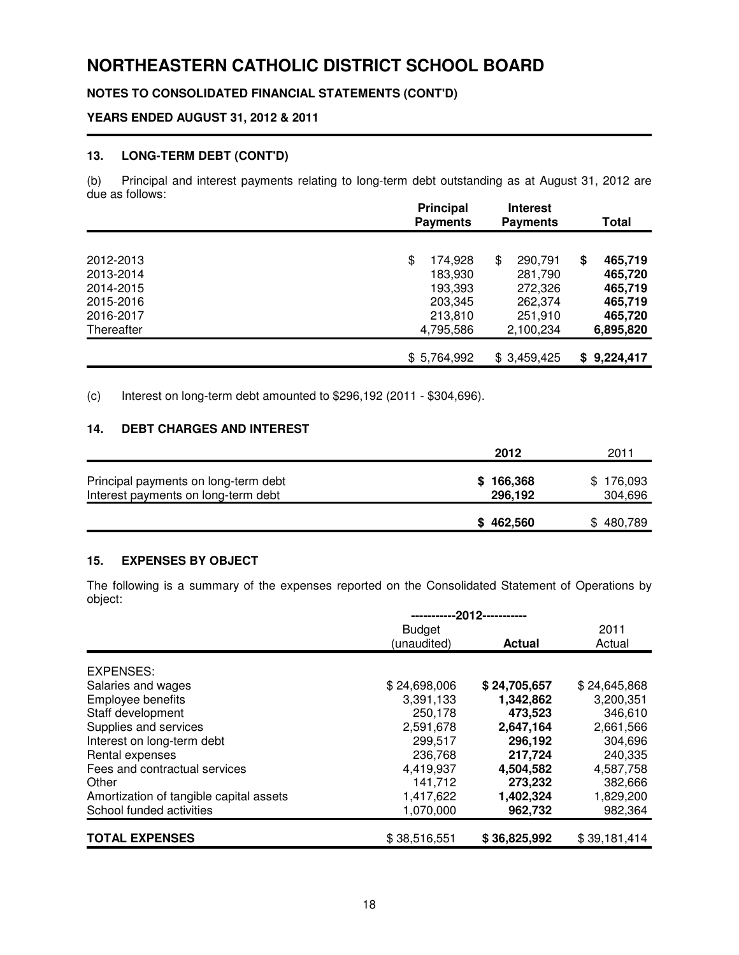**NOTES TO CONSOLIDATED FINANCIAL STATEMENTS (CONT'D)**

### **YEARS ENDED AUGUST 31, 2012 & 2011**

### **13. LONG-TERM DEBT (CONT'D)**

(b) Principal and interest payments relating to long-term debt outstanding as at August 31, 2012 are due as follows:

|            | <b>Principal</b><br><b>Payments</b> | <b>Interest</b><br><b>Payments</b> | Total         |
|------------|-------------------------------------|------------------------------------|---------------|
|            |                                     |                                    |               |
| 2012-2013  | \$<br>174,928                       | \$<br>290,791                      | \$<br>465,719 |
| 2013-2014  | 183,930                             | 281,790                            | 465,720       |
| 2014-2015  | 193,393                             | 272,326                            | 465,719       |
| 2015-2016  | 203,345                             | 262,374                            | 465,719       |
| 2016-2017  | 213,810                             | 251,910                            | 465,720       |
| Thereafter | 4,795,586                           | 2,100,234                          | 6,895,820     |
|            |                                     |                                    |               |
|            | \$5,764,992                         | \$3,459,425                        | \$9,224,417   |

(c) Interest on long-term debt amounted to \$296,192 (2011 - \$304,696).

#### **14. DEBT CHARGES AND INTEREST**

|                                                                             | 2012                 | 2011               |
|-----------------------------------------------------------------------------|----------------------|--------------------|
| Principal payments on long-term debt<br>Interest payments on long-term debt | \$166,368<br>296,192 | 176,093<br>304,696 |
|                                                                             | \$462,560            | 480,789            |

#### **15. EXPENSES BY OBJECT**

The following is a summary of the expenses reported on the Consolidated Statement of Operations by object:

| -2012-----------                        |               |               |              |  |  |  |  |  |  |
|-----------------------------------------|---------------|---------------|--------------|--|--|--|--|--|--|
|                                         | <b>Budget</b> |               | 2011         |  |  |  |  |  |  |
|                                         | (unaudited)   | <b>Actual</b> | Actual       |  |  |  |  |  |  |
| EXPENSES:                               |               |               |              |  |  |  |  |  |  |
|                                         |               |               |              |  |  |  |  |  |  |
| Salaries and wages                      | \$24,698,006  | \$24,705,657  | \$24,645,868 |  |  |  |  |  |  |
| <b>Employee benefits</b>                | 3,391,133     | 1,342,862     | 3,200,351    |  |  |  |  |  |  |
| Staff development                       | 250,178       | 473,523       | 346,610      |  |  |  |  |  |  |
| Supplies and services                   | 2,591,678     | 2,647,164     | 2,661,566    |  |  |  |  |  |  |
| Interest on long-term debt              | 299,517       | 296,192       | 304,696      |  |  |  |  |  |  |
| Rental expenses                         | 236,768       | 217,724       | 240,335      |  |  |  |  |  |  |
| Fees and contractual services           | 4,419,937     | 4,504,582     | 4,587,758    |  |  |  |  |  |  |
| Other                                   | 141.712       | 273,232       | 382,666      |  |  |  |  |  |  |
| Amortization of tangible capital assets | 1,417,622     | 1,402,324     | 1,829,200    |  |  |  |  |  |  |
| School funded activities                | 1,070,000     | 962,732       | 982,364      |  |  |  |  |  |  |
|                                         |               |               |              |  |  |  |  |  |  |
| <b>TOTAL EXPENSES</b>                   | \$38,516,551  | \$36,825,992  | \$39,181,414 |  |  |  |  |  |  |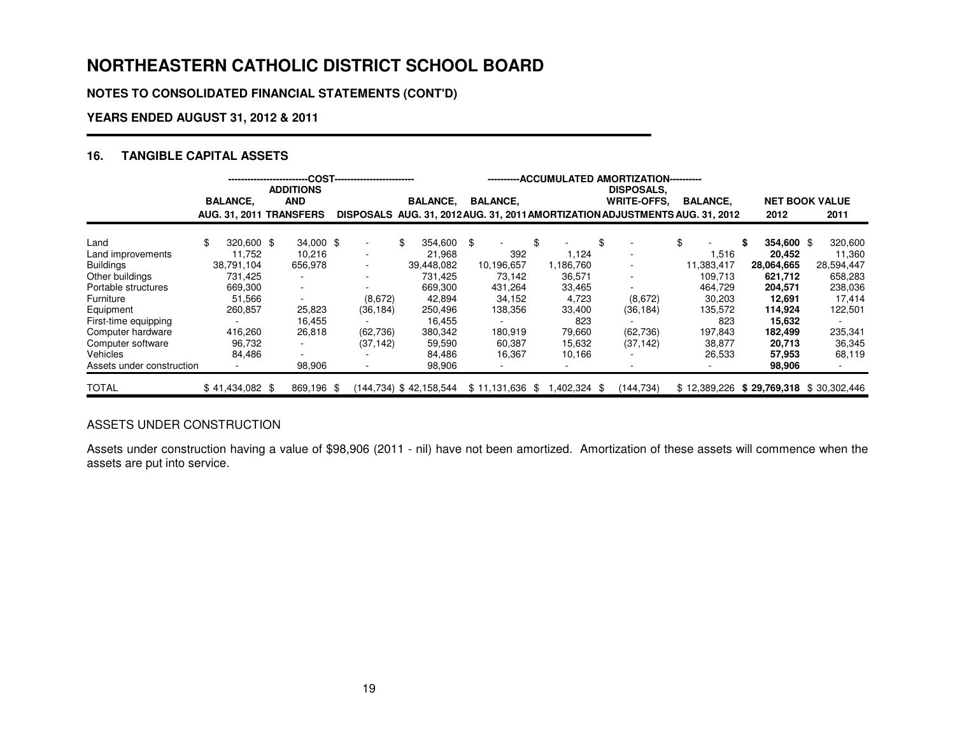**NOTES TO CONSOLIDATED FINANCIAL STATEMENTS (CONT'D)**

## **YEARS ENDED AUGUST 31, 2012 & 2011**

### **16. TANGIBLE CAPITAL ASSETS**

|                           | ----COST--------------------------<br>-----------------------<br><b>ADDITIONS</b> |                  |  |                         |  |                        | ----------ACCUMULATED AMORTIZATION-----------<br><b>DISPOSALS,</b> |  |                  |    |              |    |                                                                              |    |                 |  |                                           |            |
|---------------------------|-----------------------------------------------------------------------------------|------------------|--|-------------------------|--|------------------------|--------------------------------------------------------------------|--|------------------|----|--------------|----|------------------------------------------------------------------------------|----|-----------------|--|-------------------------------------------|------------|
|                           |                                                                                   | <b>BALANCE.</b>  |  | <b>AND</b>              |  |                        | <b>BALANCE.</b>                                                    |  | <b>BALANCE.</b>  |    |              |    | WRITE-OFFS.                                                                  |    | <b>BALANCE,</b> |  | <b>NET BOOK VALUE</b>                     |            |
|                           |                                                                                   |                  |  | AUG. 31. 2011 TRANSFERS |  |                        |                                                                    |  |                  |    |              |    | DISPOSALS AUG. 31, 2012 AUG. 31, 2011 AMORTIZATION ADJUSTMENTS AUG. 31, 2012 |    |                 |  | 2012                                      | 2011       |
| Land                      | \$                                                                                | 320,600 \$       |  | 34.000 \$               |  |                        | \$<br>354,600 \$                                                   |  |                  | \$ |              | \$ |                                                                              | \$ |                 |  | 354,600 \$                                | 320,600    |
| Land improvements         |                                                                                   | 11.752           |  | 10,216                  |  |                        | 21,968                                                             |  | 392              |    | 1,124        |    | ۰                                                                            |    | 1,516           |  | 20,452                                    | 11,360     |
| <b>Buildings</b>          |                                                                                   | 38,791,104       |  | 656,978                 |  | $\sim$                 | 39,448,082                                                         |  | 10,196,657       |    | 1,186,760    |    | ۰                                                                            |    | 11,383,417      |  | 28,064,665                                | 28,594,447 |
| Other buildings           |                                                                                   | 731,425          |  |                         |  |                        | 731,425                                                            |  | 73,142           |    | 36,571       |    | $\overline{\phantom{a}}$                                                     |    | 109,713         |  | 621,712                                   | 658,283    |
| Portable structures       |                                                                                   | 669,300          |  | ٠                       |  |                        | 669,300                                                            |  | 431,264          |    | 33,465       |    |                                                                              |    | 464,729         |  | 204,571                                   | 238,036    |
| Furniture                 |                                                                                   | 51,566           |  |                         |  | (8,672)                | 42.894                                                             |  | 34,152           |    | 4,723        |    | (8,672)                                                                      |    | 30,203          |  | 12,691                                    | 17,414     |
| Equipment                 |                                                                                   | 260,857          |  | 25,823                  |  | (36, 184)              | 250,496                                                            |  | 138,356          |    | 33,400       |    | (36, 184)                                                                    |    | 135,572         |  | 114,924                                   | 122,501    |
| First-time equipping      |                                                                                   |                  |  | 16,455                  |  |                        | 16,455                                                             |  |                  |    | 823          |    |                                                                              |    | 823             |  | 15,632                                    |            |
| Computer hardware         |                                                                                   | 416,260          |  | 26,818                  |  | (62, 736)              | 380,342                                                            |  | 180,919          |    | 79,660       |    | (62, 736)                                                                    |    | 197,843         |  | 182,499                                   | 235,341    |
| Computer software         |                                                                                   | 96,732           |  |                         |  | (37, 142)              | 59,590                                                             |  | 60,387           |    | 15,632       |    | (37, 142)                                                                    |    | 38,877          |  | 20,713                                    | 36,345     |
| Vehicles                  |                                                                                   | 84,486           |  |                         |  |                        | 84,486                                                             |  | 16,367           |    | 10,166       |    |                                                                              |    | 26,533          |  | 57,953                                    | 68,119     |
| Assets under construction |                                                                                   | ۰.               |  | 98,906                  |  |                        | 98,906                                                             |  |                  |    |              |    |                                                                              |    |                 |  | 98,906                                    |            |
| <b>TOTAL</b>              |                                                                                   | $$41,434,082$ \$ |  | 869,196 \$              |  | (144,734) \$42,158,544 |                                                                    |  | $$11,131,636$ \$ |    | 1,402,324 \$ |    | (144, 734)                                                                   |    |                 |  | $$12,389,226$ $$29,769,318$ $$30,302,446$ |            |

#### ASSETS UNDER CONSTRUCTION

Assets under construction having a value of \$98,906 (2011 - nil) have not been amortized. Amortization of these assets will commence when theassets are put into service.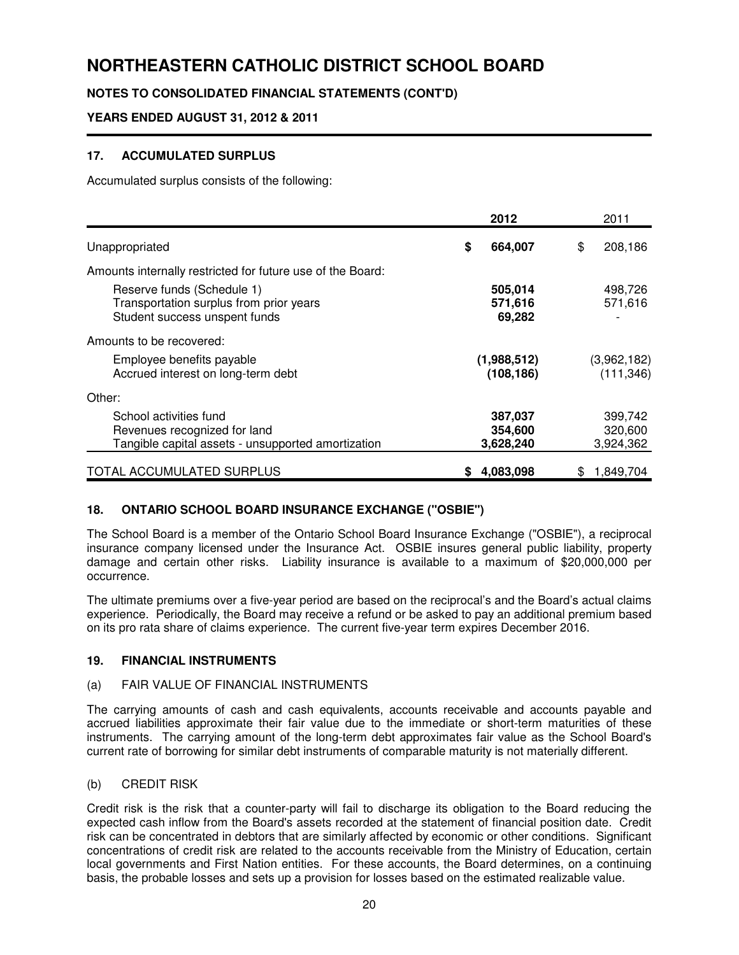**NOTES TO CONSOLIDATED FINANCIAL STATEMENTS (CONT'D)**

### **YEARS ENDED AUGUST 31, 2012 & 2011**

#### **17. ACCUMULATED SURPLUS**

Accumulated surplus consists of the following:

|                                                                                                              | 2012                            | 2011                            |
|--------------------------------------------------------------------------------------------------------------|---------------------------------|---------------------------------|
| Unappropriated                                                                                               | \$<br>664,007                   | 208,186<br>\$                   |
| Amounts internally restricted for future use of the Board:                                                   |                                 |                                 |
| Reserve funds (Schedule 1)<br>Transportation surplus from prior years<br>Student success unspent funds       | 505,014<br>571,616<br>69,282    | 498,726<br>571,616              |
| Amounts to be recovered:                                                                                     |                                 |                                 |
| Employee benefits payable<br>Accrued interest on long-term debt                                              | (1,988,512)<br>(108, 186)       | (3,962,182)<br>(111, 346)       |
| Other:                                                                                                       |                                 |                                 |
| School activities fund<br>Revenues recognized for land<br>Tangible capital assets - unsupported amortization | 387,037<br>354,600<br>3,628,240 | 399,742<br>320,600<br>3,924,362 |
| TOTAL ACCUMULATED SURPLUS                                                                                    | 4,083,098<br>S                  | 1,849,704                       |

#### **18. ONTARIO SCHOOL BOARD INSURANCE EXCHANGE ("OSBIE")**

The School Board is a member of the Ontario School Board Insurance Exchange ("OSBIE"), a reciprocal insurance company licensed under the Insurance Act. OSBIE insures general public liability, property damage and certain other risks. Liability insurance is available to a maximum of \$20,000,000 per occurrence.

The ultimate premiums over a five-year period are based on the reciprocal's and the Board's actual claims experience. Periodically, the Board may receive a refund or be asked to pay an additional premium based on its pro rata share of claims experience. The current five-year term expires December 2016.

#### **19. FINANCIAL INSTRUMENTS**

#### (a) FAIR VALUE OF FINANCIAL INSTRUMENTS

The carrying amounts of cash and cash equivalents, accounts receivable and accounts payable and accrued liabilities approximate their fair value due to the immediate or short-term maturities of these instruments. The carrying amount of the long-term debt approximates fair value as the School Board's current rate of borrowing for similar debt instruments of comparable maturity is not materially different.

#### (b) CREDIT RISK

Credit risk is the risk that a counter-party will fail to discharge its obligation to the Board reducing the expected cash inflow from the Board's assets recorded at the statement of financial position date. Credit risk can be concentrated in debtors that are similarly affected by economic or other conditions. Significant concentrations of credit risk are related to the accounts receivable from the Ministry of Education, certain local governments and First Nation entities. For these accounts, the Board determines, on a continuing basis, the probable losses and sets up a provision for losses based on the estimated realizable value.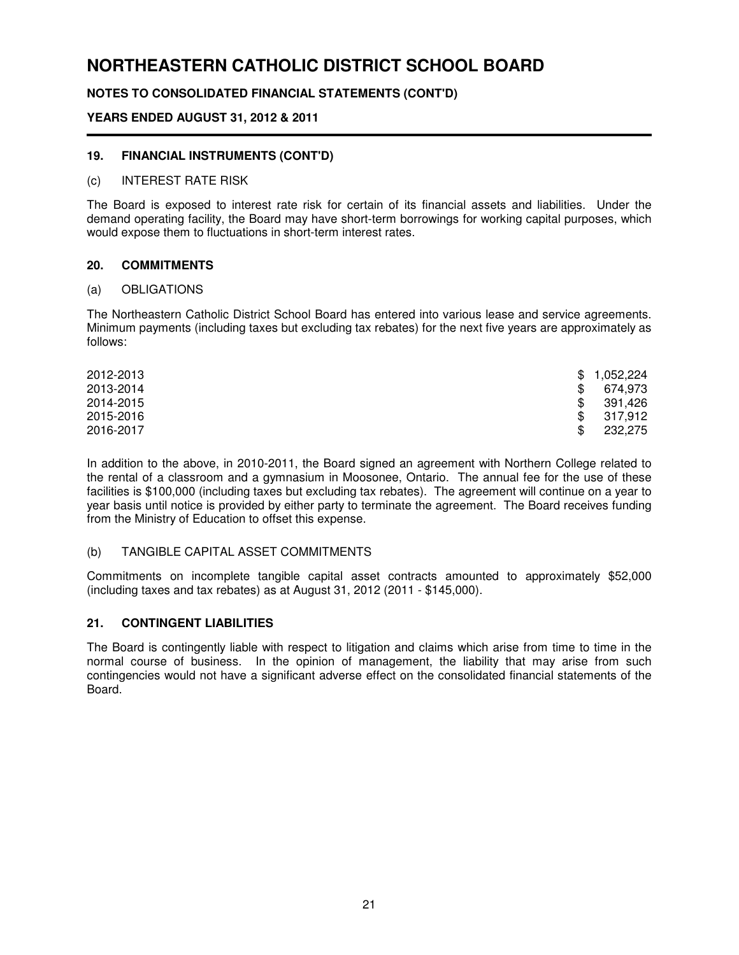### **NOTES TO CONSOLIDATED FINANCIAL STATEMENTS (CONT'D)**

#### **YEARS ENDED AUGUST 31, 2012 & 2011**

### **19. FINANCIAL INSTRUMENTS (CONT'D)**

#### (c) INTEREST RATE RISK

The Board is exposed to interest rate risk for certain of its financial assets and liabilities. Under the demand operating facility, the Board may have short-term borrowings for working capital purposes, which would expose them to fluctuations in short-term interest rates.

#### **20. COMMITMENTS**

#### (a) OBLIGATIONS

The Northeastern Catholic District School Board has entered into various lease and service agreements. Minimum payments (including taxes but excluding tax rebates) for the next five years are approximately as follows:

| 2012-2013 |      | \$1,052,224 |
|-----------|------|-------------|
| 2013-2014 | \$   | 674,973     |
| 2014-2015 | - SS | 391,426     |
| 2015-2016 | \$   | 317,912     |
| 2016-2017 | \$.  | 232,275     |

In addition to the above, in 2010-2011, the Board signed an agreement with Northern College related to the rental of a classroom and a gymnasium in Moosonee, Ontario. The annual fee for the use of these facilities is \$100,000 (including taxes but excluding tax rebates). The agreement will continue on a year to year basis until notice is provided by either party to terminate the agreement. The Board receives funding from the Ministry of Education to offset this expense.

#### (b) TANGIBLE CAPITAL ASSET COMMITMENTS

Commitments on incomplete tangible capital asset contracts amounted to approximately \$52,000 (including taxes and tax rebates) as at August 31, 2012 (2011 - \$145,000).

#### **21. CONTINGENT LIABILITIES**

The Board is contingently liable with respect to litigation and claims which arise from time to time in the normal course of business. In the opinion of management, the liability that may arise from such contingencies would not have a significant adverse effect on the consolidated financial statements of the Board.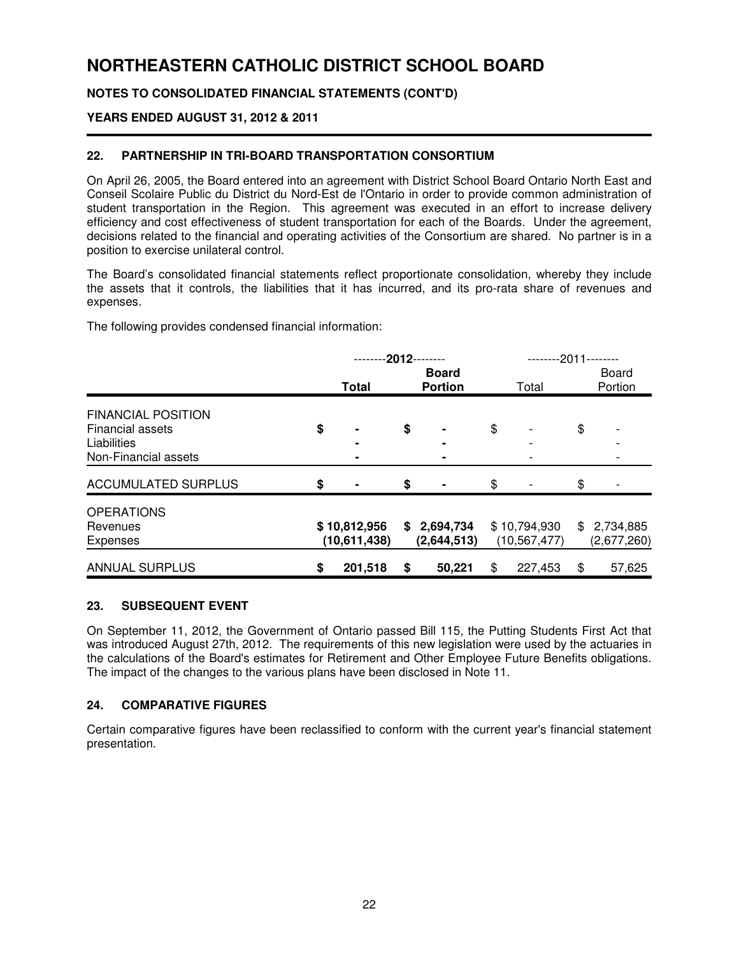## **NOTES TO CONSOLIDATED FINANCIAL STATEMENTS (CONT'D)**

### **YEARS ENDED AUGUST 31, 2012 & 2011**

### **22. PARTNERSHIP IN TRI-BOARD TRANSPORTATION CONSORTIUM**

On April 26, 2005, the Board entered into an agreement with District School Board Ontario North East and Conseil Scolaire Public du District du Nord-Est de l'Ontario in order to provide common administration of student transportation in the Region. This agreement was executed in an effort to increase delivery efficiency and cost effectiveness of student transportation for each of the Boards. Under the agreement, decisions related to the financial and operating activities of the Consortium are shared. No partner is in a position to exercise unilateral control.

The Board's consolidated financial statements reflect proportionate consolidation, whereby they include the assets that it controls, the liabilities that it has incurred, and its pro-rata share of revenues and expenses.

The following provides condensed financial information:

|                            |               | -2012- |                                |                | -2011- |                         |  |  |
|----------------------------|---------------|--------|--------------------------------|----------------|--------|-------------------------|--|--|
|                            | <b>Total</b>  |        | <b>Board</b><br><b>Portion</b> | Total          |        | <b>Board</b><br>Portion |  |  |
| <b>FINANCIAL POSITION</b>  |               |        |                                |                |        |                         |  |  |
| Financial assets           | \$            | \$     |                                | \$             | \$     |                         |  |  |
| Liabilities                |               |        |                                |                |        |                         |  |  |
| Non-Financial assets       |               |        |                                |                |        |                         |  |  |
| <b>ACCUMULATED SURPLUS</b> | \$            | \$     |                                | \$             | \$     |                         |  |  |
| <b>OPERATIONS</b>          |               |        |                                |                |        |                         |  |  |
| Revenues                   | \$10,812,956  | \$     | 2,694,734                      | \$10,794,930   | \$     | 2,734,885               |  |  |
| <b>Expenses</b>            | (10,611,438)  |        | (2,644,513)                    | (10, 567, 477) |        | (2,677,260)             |  |  |
| <b>ANNUAL SURPLUS</b>      | \$<br>201,518 | \$     | 50,221                         | \$<br>227,453  | \$     | 57,625                  |  |  |

#### **23. SUBSEQUENT EVENT**

On September 11, 2012, the Government of Ontario passed Bill 115, the Putting Students First Act that was introduced August 27th, 2012. The requirements of this new legislation were used by the actuaries in the calculations of the Board's estimates for Retirement and Other Employee Future Benefits obligations. The impact of the changes to the various plans have been disclosed in Note 11.

#### **24. COMPARATIVE FIGURES**

Certain comparative figures have been reclassified to conform with the current year's financial statement presentation.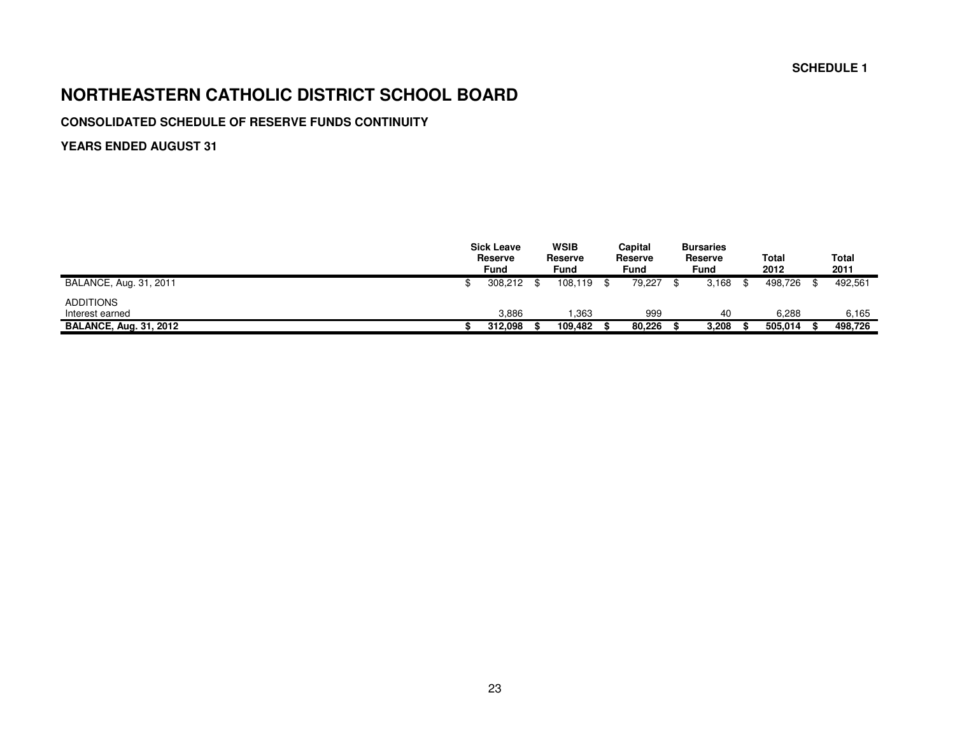## **CONSOLIDATED SCHEDULE OF RESERVE FUNDS CONTINUITY**

|                                     | <b>Sick Leave</b><br>Reserve<br><b>Fund</b> | <b>WSIB</b><br>Reserve<br><b>Fund</b> | Capital<br>Reserve<br><b>Fund</b> | <b>Bursaries</b><br>Reserve<br>Fund | Total<br>2012 | Total<br>2011 |
|-------------------------------------|---------------------------------------------|---------------------------------------|-----------------------------------|-------------------------------------|---------------|---------------|
| BALANCE, Aug. 31, 2011              | 308,212                                     | 108,119                               | 79.227                            | 3,168                               | 498.726       | 492,561       |
| <b>ADDITIONS</b><br>Interest earned | 3,886                                       | .363                                  | 999                               | 40                                  | 6,288         | 6,165         |
| <b>BALANCE, Aug. 31, 2012</b>       | 312.098                                     | 109,482                               | 80.226                            | 3,208                               | 505,014       | 498,726       |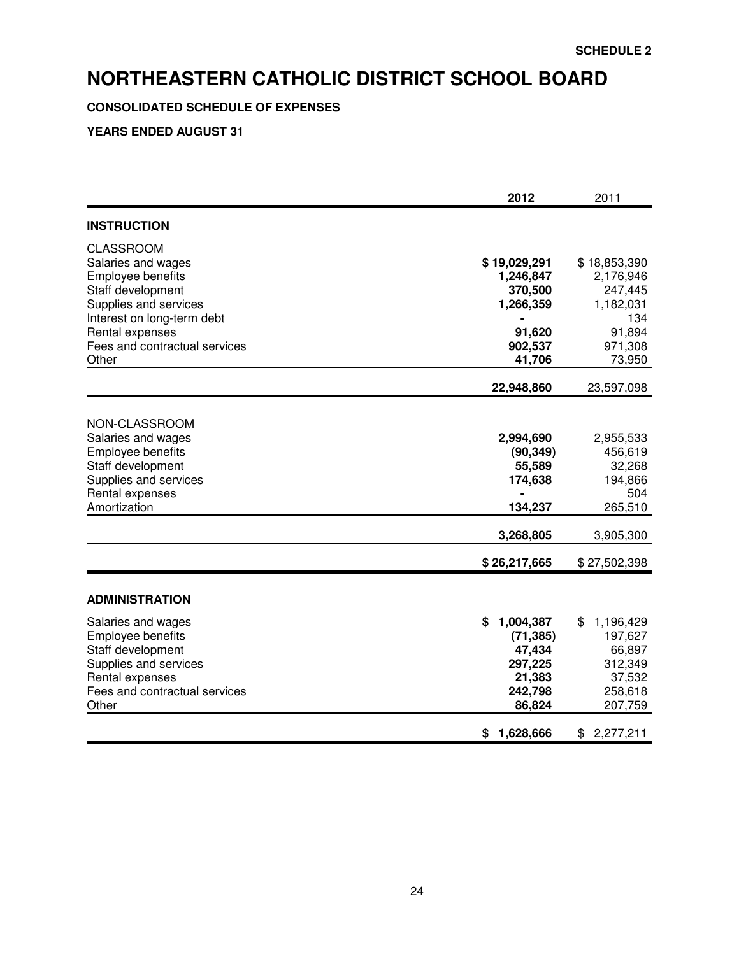## **CONSOLIDATED SCHEDULE OF EXPENSES**

|                                                                                                                                                                                                      | 2012                                                                             | 2011                                                                                    |
|------------------------------------------------------------------------------------------------------------------------------------------------------------------------------------------------------|----------------------------------------------------------------------------------|-----------------------------------------------------------------------------------------|
| <b>INSTRUCTION</b>                                                                                                                                                                                   |                                                                                  |                                                                                         |
| <b>CLASSROOM</b><br>Salaries and wages<br>Employee benefits<br>Staff development<br>Supplies and services<br>Interest on long-term debt<br>Rental expenses<br>Fees and contractual services<br>Other | \$19,029,291<br>1,246,847<br>370,500<br>1,266,359<br>91,620<br>902,537<br>41,706 | \$18,853,390<br>2,176,946<br>247,445<br>1,182,031<br>134<br>91,894<br>971,308<br>73,950 |
|                                                                                                                                                                                                      | 22,948,860                                                                       | 23,597,098                                                                              |
| NON-CLASSROOM<br>Salaries and wages<br>Employee benefits<br>Staff development<br>Supplies and services<br>Rental expenses<br>Amortization                                                            | 2,994,690<br>(90, 349)<br>55,589<br>174,638<br>134,237<br>3,268,805              | 2,955,533<br>456,619<br>32,268<br>194,866<br>504<br>265,510<br>3,905,300                |
|                                                                                                                                                                                                      | \$26,217,665                                                                     | \$27,502,398                                                                            |
| <b>ADMINISTRATION</b>                                                                                                                                                                                |                                                                                  |                                                                                         |
| Salaries and wages<br>Employee benefits<br>Staff development<br>Supplies and services<br>Rental expenses<br>Fees and contractual services<br>Other                                                   | 1,004,387<br>S<br>(71, 385)<br>47,434<br>297,225<br>21,383<br>242,798<br>86,824  | 1,196,429<br>\$<br>197,627<br>66,897<br>312,349<br>37,532<br>258,618<br>207,759         |
|                                                                                                                                                                                                      | \$1,628,666                                                                      | \$2,277,211                                                                             |